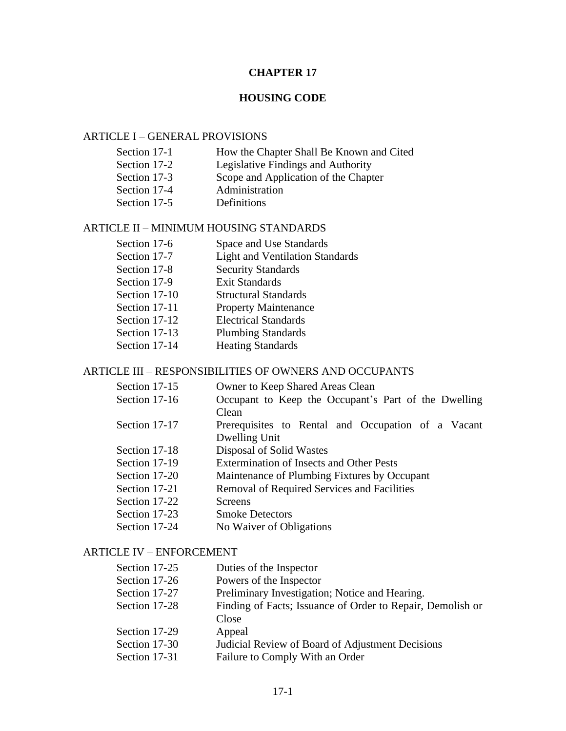# **CHAPTER 17**

# **HOUSING CODE**

# ARTICLE I – GENERAL PROVISIONS

| Section 17-1 | How the Chapter Shall Be Known and Cited |
|--------------|------------------------------------------|
| Section 17-2 | Legislative Findings and Authority       |
| Section 17-3 | Scope and Application of the Chapter     |
| Section 17-4 | Administration                           |
| Section 17-5 | Definitions                              |

## ARTICLE II – MINIMUM HOUSING STANDARDS

| Section 17-6  | Space and Use Standards                |
|---------------|----------------------------------------|
| Section 17-7  | <b>Light and Ventilation Standards</b> |
| Section 17-8  | <b>Security Standards</b>              |
| Section 17-9  | <b>Exit Standards</b>                  |
| Section 17-10 | <b>Structural Standards</b>            |
| Section 17-11 | <b>Property Maintenance</b>            |
| Section 17-12 | <b>Electrical Standards</b>            |
| Section 17-13 | <b>Plumbing Standards</b>              |
| Section 17-14 | <b>Heating Standards</b>               |
|               |                                        |

# ARTICLE III – RESPONSIBILITIES OF OWNERS AND OCCUPANTS

| Section 17-15 | Owner to Keep Shared Areas Clean                     |  |  |  |  |  |
|---------------|------------------------------------------------------|--|--|--|--|--|
| Section 17-16 | Occupant to Keep the Occupant's Part of the Dwelling |  |  |  |  |  |
|               | Clean                                                |  |  |  |  |  |
| Section 17-17 | Prerequisites to Rental and Occupation of a Vacant   |  |  |  |  |  |
|               | Dwelling Unit                                        |  |  |  |  |  |
| Section 17-18 | Disposal of Solid Wastes                             |  |  |  |  |  |
| Section 17-19 | <b>Extermination of Insects and Other Pests</b>      |  |  |  |  |  |
| Section 17-20 | Maintenance of Plumbing Fixtures by Occupant         |  |  |  |  |  |
| Section 17-21 | Removal of Required Services and Facilities          |  |  |  |  |  |
| Section 17-22 | Screens                                              |  |  |  |  |  |
| Section 17-23 | <b>Smoke Detectors</b>                               |  |  |  |  |  |
| Section 17-24 | No Waiver of Obligations                             |  |  |  |  |  |

#### ARTICLE IV – ENFORCEMENT

| Section 17-25 | Duties of the Inspector                                    |
|---------------|------------------------------------------------------------|
| Section 17-26 | Powers of the Inspector                                    |
| Section 17-27 | Preliminary Investigation; Notice and Hearing.             |
| Section 17-28 | Finding of Facts; Issuance of Order to Repair, Demolish or |
|               | Close                                                      |
| Section 17-29 | Appeal                                                     |
| Section 17-30 | Judicial Review of Board of Adjustment Decisions           |
| Section 17-31 | Failure to Comply With an Order                            |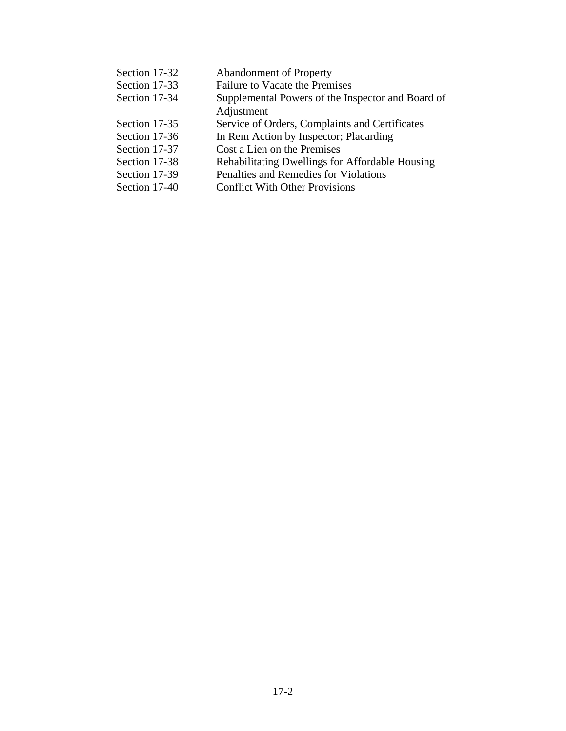| Section 17-32 | <b>Abandonment of Property</b>                    |
|---------------|---------------------------------------------------|
| Section 17-33 | Failure to Vacate the Premises                    |
| Section 17-34 | Supplemental Powers of the Inspector and Board of |
|               | Adjustment                                        |
| Section 17-35 | Service of Orders, Complaints and Certificates    |
| Section 17-36 | In Rem Action by Inspector; Placarding            |
| Section 17-37 | Cost a Lien on the Premises                       |
| Section 17-38 | Rehabilitating Dwellings for Affordable Housing   |
| Section 17-39 | Penalties and Remedies for Violations             |
| Section 17-40 | <b>Conflict With Other Provisions</b>             |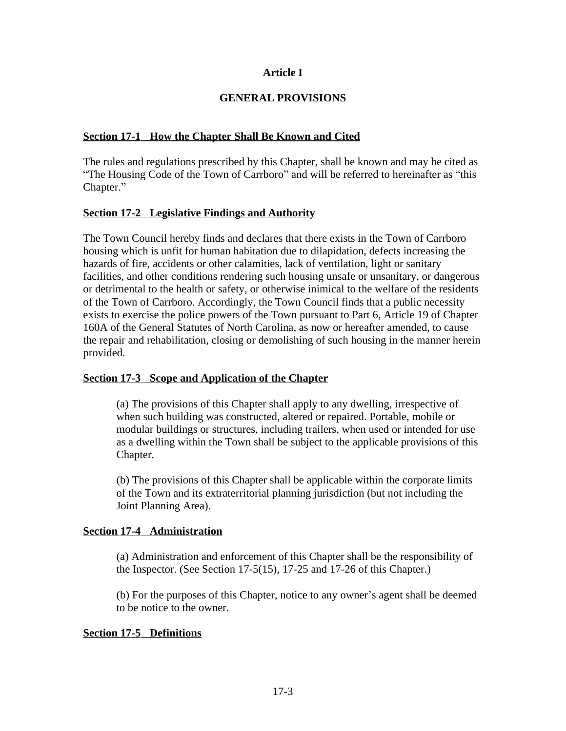# **Article I**

## **GENERAL PROVISIONS**

## **Section 17-1 How the Chapter Shall Be Known and Cited**

The rules and regulations prescribed by this Chapter, shall be known and may be cited as "The Housing Code of the Town of Carrboro" and will be referred to hereinafter as "this Chapter."

## **Section 17-2 Legislative Findings and Authority**

The Town Council hereby finds and declares that there exists in the Town of Carrboro housing which is unfit for human habitation due to dilapidation, defects increasing the hazards of fire, accidents or other calamities, lack of ventilation, light or sanitary facilities, and other conditions rendering such housing unsafe or unsanitary, or dangerous or detrimental to the health or safety, or otherwise inimical to the welfare of the residents of the Town of Carrboro. Accordingly, the Town Council finds that a public necessity exists to exercise the police powers of the Town pursuant to Part 6, Article 19 of Chapter 160A of the General Statutes of North Carolina, as now or hereafter amended, to cause the repair and rehabilitation, closing or demolishing of such housing in the manner herein provided.

## **Section 17-3 Scope and Application of the Chapter**

(a) The provisions of this Chapter shall apply to any dwelling, irrespective of when such building was constructed, altered or repaired. Portable, mobile or modular buildings or structures, including trailers, when used or intended for use as a dwelling within the Town shall be subject to the applicable provisions of this Chapter.

(b) The provisions of this Chapter shall be applicable within the corporate limits of the Town and its extraterritorial planning jurisdiction (but not including the Joint Planning Area).

## **Section 17-4 Administration**

(a) Administration and enforcement of this Chapter shall be the responsibility of the Inspector. (See Section 17-5(15), 17-25 and 17-26 of this Chapter.)

(b) For the purposes of this Chapter, notice to any owner's agent shall be deemed to be notice to the owner.

## **Section 17-5 Definitions**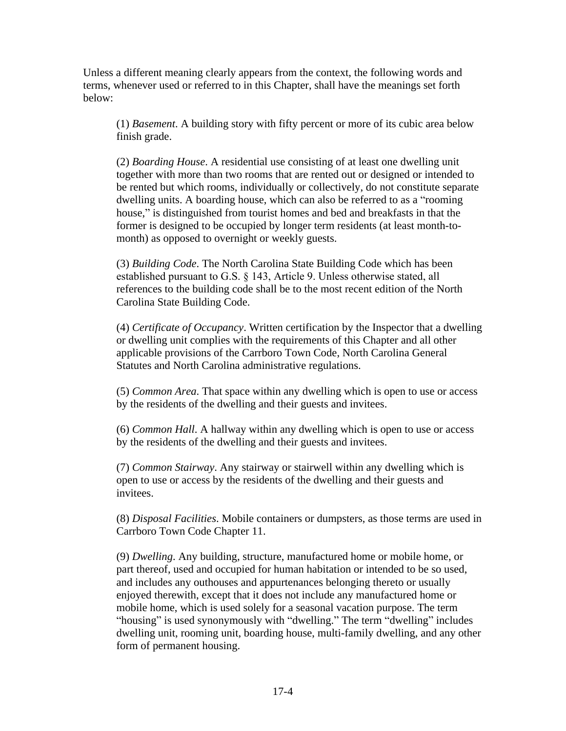Unless a different meaning clearly appears from the context, the following words and terms, whenever used or referred to in this Chapter, shall have the meanings set forth below:

(1) *Basement*. A building story with fifty percent or more of its cubic area below finish grade.

(2) *Boarding House*. A residential use consisting of at least one dwelling unit together with more than two rooms that are rented out or designed or intended to be rented but which rooms, individually or collectively, do not constitute separate dwelling units. A boarding house, which can also be referred to as a "rooming house," is distinguished from tourist homes and bed and breakfasts in that the former is designed to be occupied by longer term residents (at least month-tomonth) as opposed to overnight or weekly guests.

(3) *Building Code*. The North Carolina State Building Code which has been established pursuant to G.S. § 143, Article 9. Unless otherwise stated, all references to the building code shall be to the most recent edition of the North Carolina State Building Code.

(4) *Certificate of Occupancy*. Written certification by the Inspector that a dwelling or dwelling unit complies with the requirements of this Chapter and all other applicable provisions of the Carrboro Town Code, North Carolina General Statutes and North Carolina administrative regulations.

(5) *Common Area*. That space within any dwelling which is open to use or access by the residents of the dwelling and their guests and invitees.

(6) *Common Hall*. A hallway within any dwelling which is open to use or access by the residents of the dwelling and their guests and invitees.

(7) *Common Stairway*. Any stairway or stairwell within any dwelling which is open to use or access by the residents of the dwelling and their guests and invitees.

(8) *Disposal Facilities*. Mobile containers or dumpsters, as those terms are used in Carrboro Town Code Chapter 11.

(9) *Dwelling*. Any building, structure, manufactured home or mobile home, or part thereof, used and occupied for human habitation or intended to be so used, and includes any outhouses and appurtenances belonging thereto or usually enjoyed therewith, except that it does not include any manufactured home or mobile home, which is used solely for a seasonal vacation purpose. The term "housing" is used synonymously with "dwelling." The term "dwelling" includes dwelling unit, rooming unit, boarding house, multi-family dwelling, and any other form of permanent housing.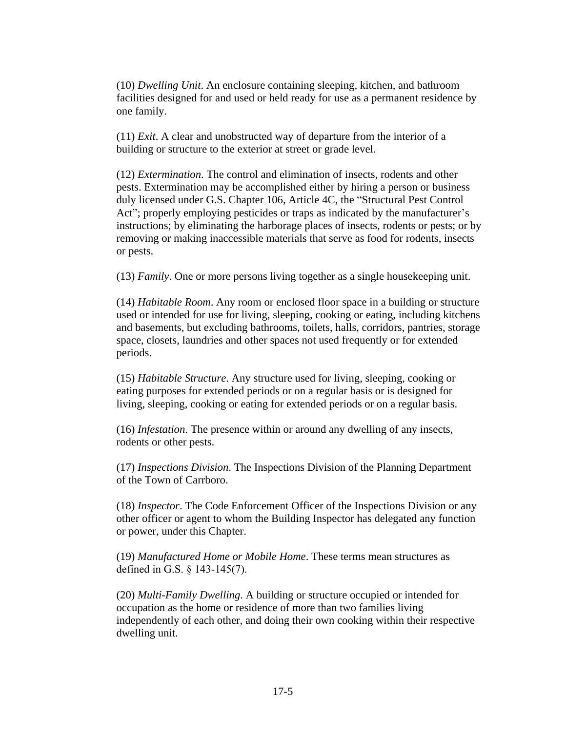(10) *Dwelling Unit*. An enclosure containing sleeping, kitchen, and bathroom facilities designed for and used or held ready for use as a permanent residence by one family.

(11) *Exit*. A clear and unobstructed way of departure from the interior of a building or structure to the exterior at street or grade level.

(12) *Extermination*. The control and elimination of insects, rodents and other pests. Extermination may be accomplished either by hiring a person or business duly licensed under G.S. Chapter 106, Article 4C, the "Structural Pest Control Act"; properly employing pesticides or traps as indicated by the manufacturer's instructions; by eliminating the harborage places of insects, rodents or pests; or by removing or making inaccessible materials that serve as food for rodents, insects or pests.

(13) *Family*. One or more persons living together as a single housekeeping unit.

(14) *Habitable Room*. Any room or enclosed floor space in a building or structure used or intended for use for living, sleeping, cooking or eating, including kitchens and basements, but excluding bathrooms, toilets, halls, corridors, pantries, storage space, closets, laundries and other spaces not used frequently or for extended periods.

(15) *Habitable Structure*. Any structure used for living, sleeping, cooking or eating purposes for extended periods or on a regular basis or is designed for living, sleeping, cooking or eating for extended periods or on a regular basis.

(16) *Infestation*. The presence within or around any dwelling of any insects, rodents or other pests.

(17) *Inspections Division*. The Inspections Division of the Planning Department of the Town of Carrboro.

(18) *Inspector*. The Code Enforcement Officer of the Inspections Division or any other officer or agent to whom the Building Inspector has delegated any function or power, under this Chapter.

(19) *Manufactured Home or Mobile Home*. These terms mean structures as defined in G.S. § 143-145(7).

(20) *Multi-Family Dwelling*. A building or structure occupied or intended for occupation as the home or residence of more than two families living independently of each other, and doing their own cooking within their respective dwelling unit.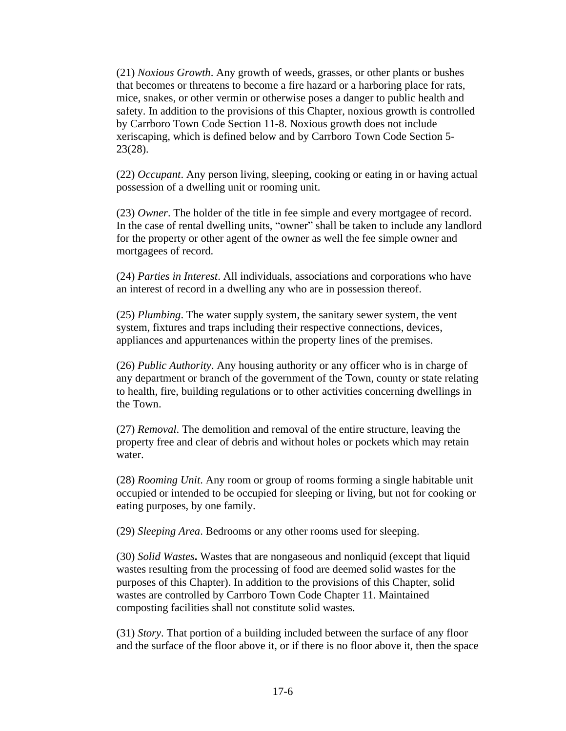(21) *Noxious Growth*. Any growth of weeds, grasses, or other plants or bushes that becomes or threatens to become a fire hazard or a harboring place for rats, mice, snakes, or other vermin or otherwise poses a danger to public health and safety. In addition to the provisions of this Chapter, noxious growth is controlled by Carrboro Town Code Section 11-8. Noxious growth does not include xeriscaping, which is defined below and by Carrboro Town Code Section 5- 23(28).

(22) *Occupant*. Any person living, sleeping, cooking or eating in or having actual possession of a dwelling unit or rooming unit.

(23) *Owner*. The holder of the title in fee simple and every mortgagee of record. In the case of rental dwelling units, "owner" shall be taken to include any landlord for the property or other agent of the owner as well the fee simple owner and mortgagees of record.

(24) *Parties in Interest*. All individuals, associations and corporations who have an interest of record in a dwelling any who are in possession thereof.

(25) *Plumbing*. The water supply system, the sanitary sewer system, the vent system, fixtures and traps including their respective connections, devices, appliances and appurtenances within the property lines of the premises.

(26) *Public Authority*. Any housing authority or any officer who is in charge of any department or branch of the government of the Town, county or state relating to health, fire, building regulations or to other activities concerning dwellings in the Town.

(27) *Removal*. The demolition and removal of the entire structure, leaving the property free and clear of debris and without holes or pockets which may retain water.

(28) *Rooming Unit*. Any room or group of rooms forming a single habitable unit occupied or intended to be occupied for sleeping or living, but not for cooking or eating purposes, by one family.

(29) *Sleeping Area*. Bedrooms or any other rooms used for sleeping.

(30) *Solid Wastes***.** Wastes that are nongaseous and nonliquid (except that liquid wastes resulting from the processing of food are deemed solid wastes for the purposes of this Chapter). In addition to the provisions of this Chapter, solid wastes are controlled by Carrboro Town Code Chapter 11. Maintained composting facilities shall not constitute solid wastes.

(31) *Story*. That portion of a building included between the surface of any floor and the surface of the floor above it, or if there is no floor above it, then the space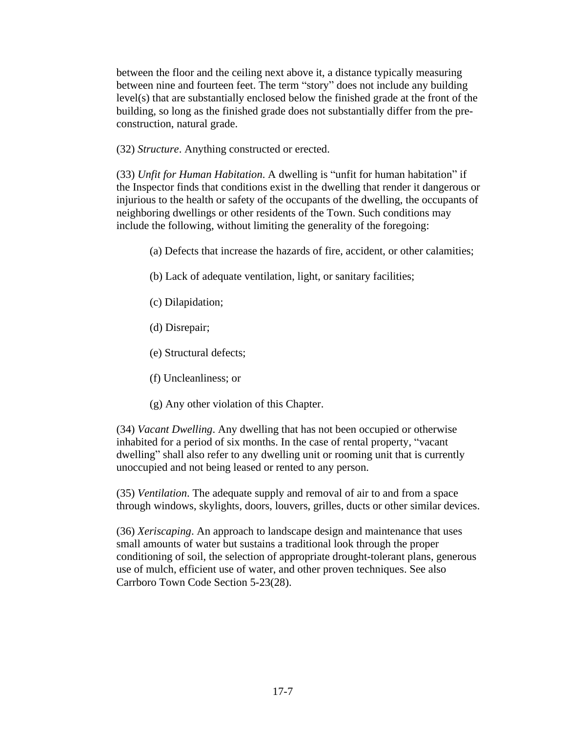between the floor and the ceiling next above it, a distance typically measuring between nine and fourteen feet. The term "story" does not include any building level(s) that are substantially enclosed below the finished grade at the front of the building, so long as the finished grade does not substantially differ from the preconstruction, natural grade.

(32) *Structure*. Anything constructed or erected.

(33) *Unfit for Human Habitation*. A dwelling is "unfit for human habitation" if the Inspector finds that conditions exist in the dwelling that render it dangerous or injurious to the health or safety of the occupants of the dwelling, the occupants of neighboring dwellings or other residents of the Town. Such conditions may include the following, without limiting the generality of the foregoing:

- (a) Defects that increase the hazards of fire, accident, or other calamities;
- (b) Lack of adequate ventilation, light, or sanitary facilities;
- (c) Dilapidation;
- (d) Disrepair;
- (e) Structural defects;
- (f) Uncleanliness; or
- (g) Any other violation of this Chapter.

(34) *Vacant Dwelling*. Any dwelling that has not been occupied or otherwise inhabited for a period of six months. In the case of rental property, "vacant dwelling" shall also refer to any dwelling unit or rooming unit that is currently unoccupied and not being leased or rented to any person.

(35) *Ventilation*. The adequate supply and removal of air to and from a space through windows, skylights, doors, louvers, grilles, ducts or other similar devices.

(36) *Xeriscaping*. An approach to landscape design and maintenance that uses small amounts of water but sustains a traditional look through the proper conditioning of soil, the selection of appropriate drought-tolerant plans, generous use of mulch, efficient use of water, and other proven techniques. See also Carrboro Town Code Section 5-23(28).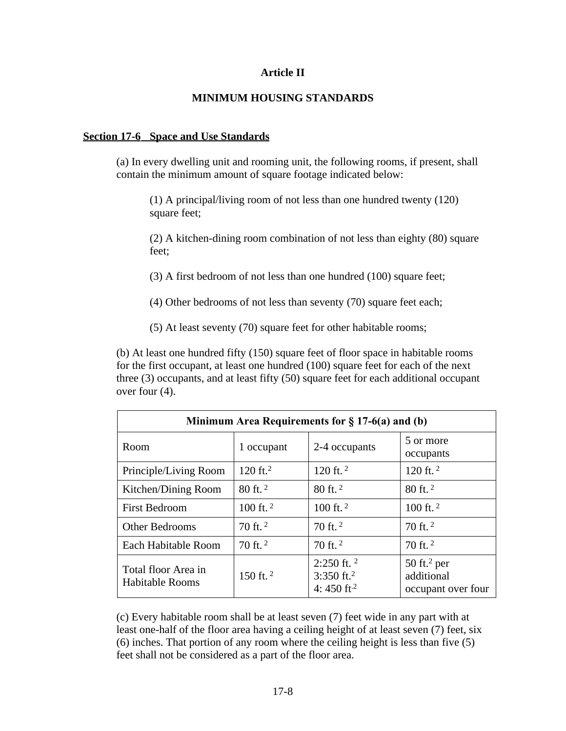### **Article II**

# **MINIMUM HOUSING STANDARDS**

#### **Section 17-6 Space and Use Standards**

(a) In every dwelling unit and rooming unit, the following rooms, if present, shall contain the minimum amount of square footage indicated below:

(1) A principal/living room of not less than one hundred twenty (120) square feet;

(2) A kitchen-dining room combination of not less than eighty (80) square feet;

(3) A first bedroom of not less than one hundred (100) square feet;

- (4) Other bedrooms of not less than seventy (70) square feet each;
- (5) At least seventy (70) square feet for other habitable rooms;

(b) At least one hundred fifty (150) square feet of floor space in habitable rooms for the first occupant, at least one hundred (100) square feet for each of the next three (3) occupants, and at least fifty (50) square feet for each additional occupant over four (4).

| Minimum Area Requirements for $\S 17-6(a)$ and (b) |                     |                                                                     |                                                               |  |  |  |
|----------------------------------------------------|---------------------|---------------------------------------------------------------------|---------------------------------------------------------------|--|--|--|
| Room                                               | 1 occupant          | 2-4 occupants                                                       | 5 or more<br>occupants                                        |  |  |  |
| Principle/Living Room                              | $120 \text{ ft.}^2$ | 120 ft. $2$                                                         | 120 ft. $2$                                                   |  |  |  |
| Kitchen/Dining Room                                | $80$ ft. $2$        | $80$ ft. $^2$                                                       | $80$ ft. $^2$                                                 |  |  |  |
| <b>First Bedroom</b>                               | 100 ft. $2$         | 100 ft. $2$                                                         | 100 ft. $2$                                                   |  |  |  |
| Other Bedrooms                                     | $70$ ft. $2$        | $70$ ft. $^2$                                                       | $70$ ft. $^2$                                                 |  |  |  |
| Each Habitable Room                                | 70 ft. $2$          | 70 ft. $2$                                                          | $70$ ft. $^2$                                                 |  |  |  |
| Total floor Area in<br><b>Habitable Rooms</b>      | 150 ft. $2$         | $2:250$ ft. $2$<br>3:350 ft. <sup>2</sup><br>4: 450 ft <sup>2</sup> | $50$ ft. <sup>2</sup> per<br>additional<br>occupant over four |  |  |  |

(c) Every habitable room shall be at least seven (7) feet wide in any part with at least one-half of the floor area having a ceiling height of at least seven (7) feet, six (6) inches. That portion of any room where the ceiling height is less than five (5) feet shall not be considered as a part of the floor area.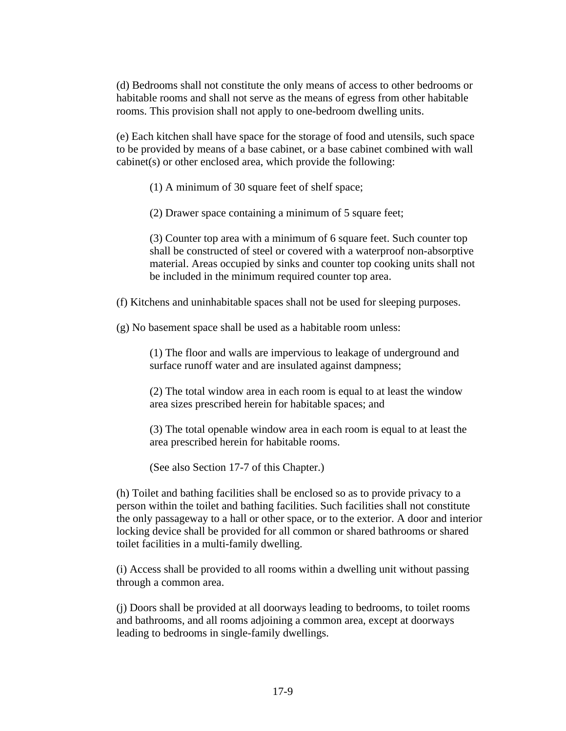(d) Bedrooms shall not constitute the only means of access to other bedrooms or habitable rooms and shall not serve as the means of egress from other habitable rooms. This provision shall not apply to one-bedroom dwelling units.

(e) Each kitchen shall have space for the storage of food and utensils, such space to be provided by means of a base cabinet, or a base cabinet combined with wall cabinet(s) or other enclosed area, which provide the following:

(1) A minimum of 30 square feet of shelf space;

(2) Drawer space containing a minimum of 5 square feet;

(3) Counter top area with a minimum of 6 square feet. Such counter top shall be constructed of steel or covered with a waterproof non-absorptive material. Areas occupied by sinks and counter top cooking units shall not be included in the minimum required counter top area.

(f) Kitchens and uninhabitable spaces shall not be used for sleeping purposes.

(g) No basement space shall be used as a habitable room unless:

(1) The floor and walls are impervious to leakage of underground and surface runoff water and are insulated against dampness;

(2) The total window area in each room is equal to at least the window area sizes prescribed herein for habitable spaces; and

(3) The total openable window area in each room is equal to at least the area prescribed herein for habitable rooms.

(See also Section 17-7 of this Chapter.)

(h) Toilet and bathing facilities shall be enclosed so as to provide privacy to a person within the toilet and bathing facilities. Such facilities shall not constitute the only passageway to a hall or other space, or to the exterior. A door and interior locking device shall be provided for all common or shared bathrooms or shared toilet facilities in a multi-family dwelling.

(i) Access shall be provided to all rooms within a dwelling unit without passing through a common area.

(j) Doors shall be provided at all doorways leading to bedrooms, to toilet rooms and bathrooms, and all rooms adjoining a common area, except at doorways leading to bedrooms in single-family dwellings.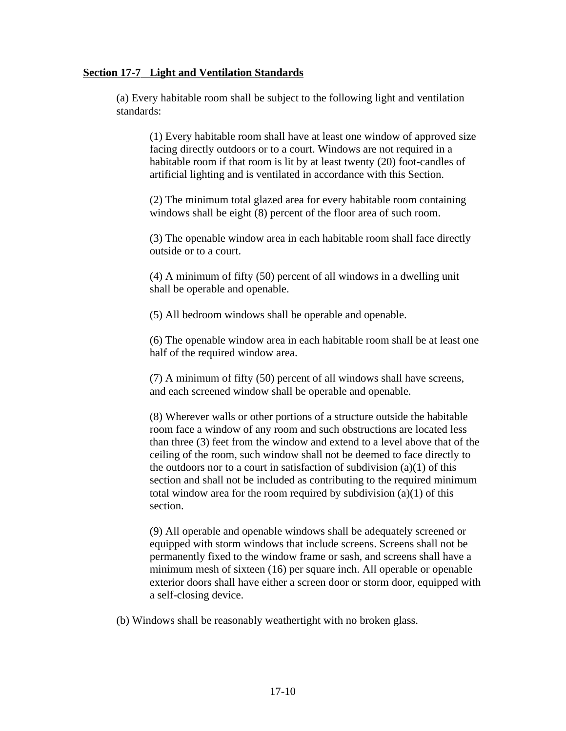### **Section 17-7 Light and Ventilation Standards**

(a) Every habitable room shall be subject to the following light and ventilation standards:

(1) Every habitable room shall have at least one window of approved size facing directly outdoors or to a court. Windows are not required in a habitable room if that room is lit by at least twenty (20) foot-candles of artificial lighting and is ventilated in accordance with this Section.

(2) The minimum total glazed area for every habitable room containing windows shall be eight (8) percent of the floor area of such room.

(3) The openable window area in each habitable room shall face directly outside or to a court.

(4) A minimum of fifty (50) percent of all windows in a dwelling unit shall be operable and openable.

(5) All bedroom windows shall be operable and openable.

(6) The openable window area in each habitable room shall be at least one half of the required window area.

(7) A minimum of fifty (50) percent of all windows shall have screens, and each screened window shall be operable and openable.

(8) Wherever walls or other portions of a structure outside the habitable room face a window of any room and such obstructions are located less than three (3) feet from the window and extend to a level above that of the ceiling of the room, such window shall not be deemed to face directly to the outdoors nor to a court in satisfaction of subdivision  $(a)(1)$  of this section and shall not be included as contributing to the required minimum total window area for the room required by subdivision (a)(1) of this section.

(9) All operable and openable windows shall be adequately screened or equipped with storm windows that include screens. Screens shall not be permanently fixed to the window frame or sash, and screens shall have a minimum mesh of sixteen (16) per square inch. All operable or openable exterior doors shall have either a screen door or storm door, equipped with a self-closing device.

(b) Windows shall be reasonably weathertight with no broken glass.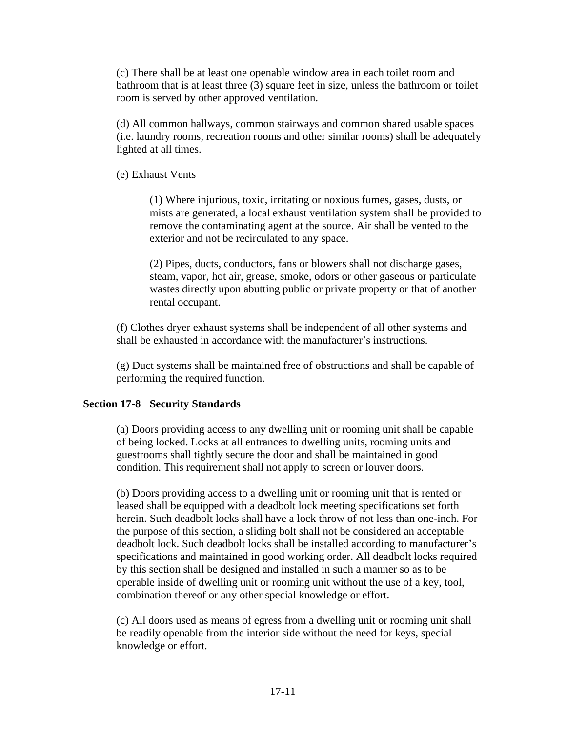(c) There shall be at least one openable window area in each toilet room and bathroom that is at least three (3) square feet in size, unless the bathroom or toilet room is served by other approved ventilation.

(d) All common hallways, common stairways and common shared usable spaces (i.e. laundry rooms, recreation rooms and other similar rooms) shall be adequately lighted at all times.

(e) Exhaust Vents

(1) Where injurious, toxic, irritating or noxious fumes, gases, dusts, or mists are generated, a local exhaust ventilation system shall be provided to remove the contaminating agent at the source. Air shall be vented to the exterior and not be recirculated to any space.

(2) Pipes, ducts, conductors, fans or blowers shall not discharge gases, steam, vapor, hot air, grease, smoke, odors or other gaseous or particulate wastes directly upon abutting public or private property or that of another rental occupant.

(f) Clothes dryer exhaust systems shall be independent of all other systems and shall be exhausted in accordance with the manufacturer's instructions.

(g) Duct systems shall be maintained free of obstructions and shall be capable of performing the required function.

## **Section 17-8 Security Standards**

(a) Doors providing access to any dwelling unit or rooming unit shall be capable of being locked. Locks at all entrances to dwelling units, rooming units and guestrooms shall tightly secure the door and shall be maintained in good condition. This requirement shall not apply to screen or louver doors.

(b) Doors providing access to a dwelling unit or rooming unit that is rented or leased shall be equipped with a deadbolt lock meeting specifications set forth herein. Such deadbolt locks shall have a lock throw of not less than one-inch. For the purpose of this section, a sliding bolt shall not be considered an acceptable deadbolt lock. Such deadbolt locks shall be installed according to manufacturer's specifications and maintained in good working order. All deadbolt locks required by this section shall be designed and installed in such a manner so as to be operable inside of dwelling unit or rooming unit without the use of a key, tool, combination thereof or any other special knowledge or effort.

(c) All doors used as means of egress from a dwelling unit or rooming unit shall be readily openable from the interior side without the need for keys, special knowledge or effort.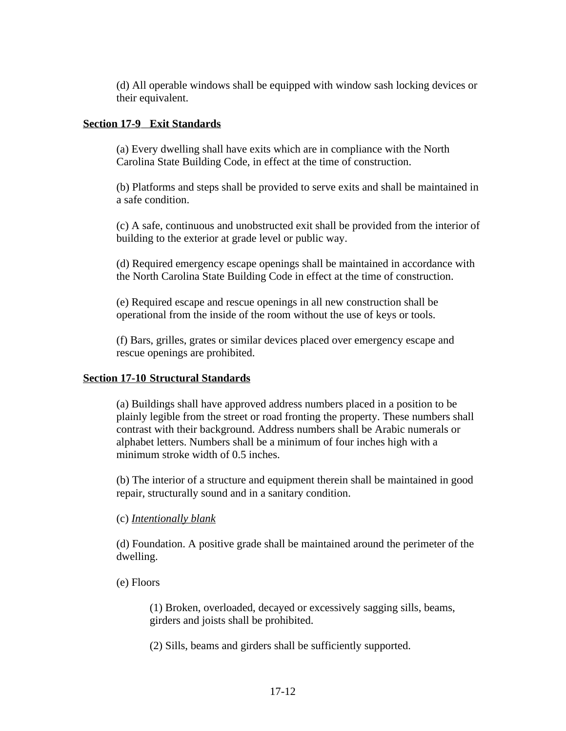(d) All operable windows shall be equipped with window sash locking devices or their equivalent.

## **Section 17-9 Exit Standards**

(a) Every dwelling shall have exits which are in compliance with the North Carolina State Building Code, in effect at the time of construction.

(b) Platforms and steps shall be provided to serve exits and shall be maintained in a safe condition.

(c) A safe, continuous and unobstructed exit shall be provided from the interior of building to the exterior at grade level or public way.

(d) Required emergency escape openings shall be maintained in accordance with the North Carolina State Building Code in effect at the time of construction.

(e) Required escape and rescue openings in all new construction shall be operational from the inside of the room without the use of keys or tools.

(f) Bars, grilles, grates or similar devices placed over emergency escape and rescue openings are prohibited.

## **Section 17-10 Structural Standards**

(a) Buildings shall have approved address numbers placed in a position to be plainly legible from the street or road fronting the property. These numbers shall contrast with their background. Address numbers shall be Arabic numerals or alphabet letters. Numbers shall be a minimum of four inches high with a minimum stroke width of 0.5 inches.

(b) The interior of a structure and equipment therein shall be maintained in good repair, structurally sound and in a sanitary condition.

## (c) *Intentionally blank*

(d) Foundation. A positive grade shall be maintained around the perimeter of the dwelling.

(e) Floors

(1) Broken, overloaded, decayed or excessively sagging sills, beams, girders and joists shall be prohibited.

(2) Sills, beams and girders shall be sufficiently supported.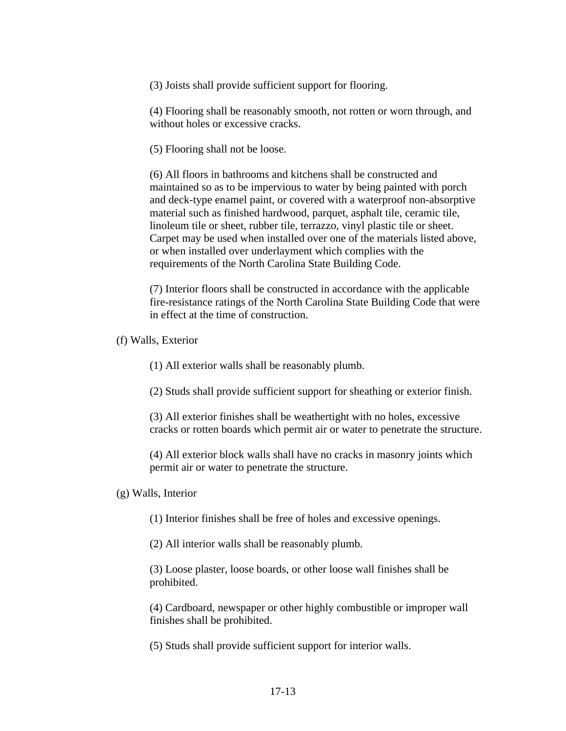(3) Joists shall provide sufficient support for flooring.

(4) Flooring shall be reasonably smooth, not rotten or worn through, and without holes or excessive cracks.

(5) Flooring shall not be loose.

(6) All floors in bathrooms and kitchens shall be constructed and maintained so as to be impervious to water by being painted with porch and deck-type enamel paint, or covered with a waterproof non-absorptive material such as finished hardwood, parquet, asphalt tile, ceramic tile, linoleum tile or sheet, rubber tile, terrazzo, vinyl plastic tile or sheet. Carpet may be used when installed over one of the materials listed above, or when installed over underlayment which complies with the requirements of the North Carolina State Building Code.

(7) Interior floors shall be constructed in accordance with the applicable fire-resistance ratings of the North Carolina State Building Code that were in effect at the time of construction.

(f) Walls, Exterior

(1) All exterior walls shall be reasonably plumb.

(2) Studs shall provide sufficient support for sheathing or exterior finish.

(3) All exterior finishes shall be weathertight with no holes, excessive cracks or rotten boards which permit air or water to penetrate the structure.

(4) All exterior block walls shall have no cracks in masonry joints which permit air or water to penetrate the structure.

#### (g) Walls, Interior

(1) Interior finishes shall be free of holes and excessive openings.

(2) All interior walls shall be reasonably plumb.

(3) Loose plaster, loose boards, or other loose wall finishes shall be prohibited.

(4) Cardboard, newspaper or other highly combustible or improper wall finishes shall be prohibited.

(5) Studs shall provide sufficient support for interior walls.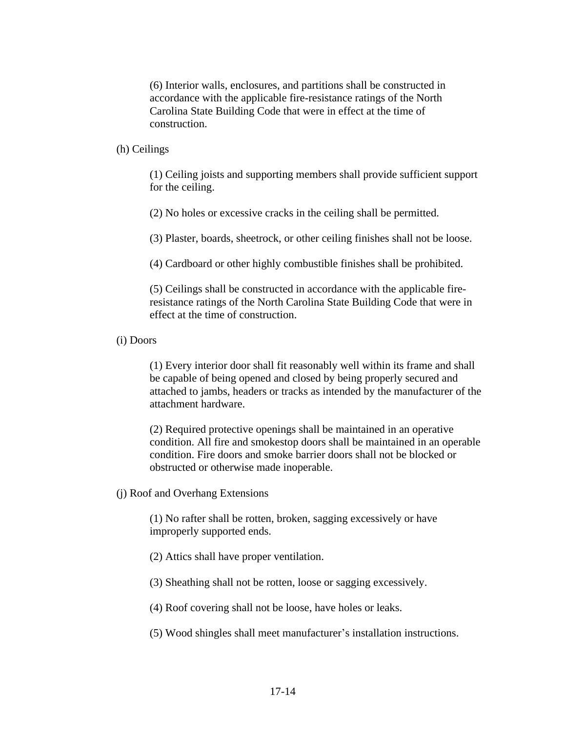(6) Interior walls, enclosures, and partitions shall be constructed in accordance with the applicable fire-resistance ratings of the North Carolina State Building Code that were in effect at the time of construction.

#### (h) Ceilings

(1) Ceiling joists and supporting members shall provide sufficient support for the ceiling.

(2) No holes or excessive cracks in the ceiling shall be permitted.

(3) Plaster, boards, sheetrock, or other ceiling finishes shall not be loose.

(4) Cardboard or other highly combustible finishes shall be prohibited.

(5) Ceilings shall be constructed in accordance with the applicable fireresistance ratings of the North Carolina State Building Code that were in effect at the time of construction.

#### (i) Doors

(1) Every interior door shall fit reasonably well within its frame and shall be capable of being opened and closed by being properly secured and attached to jambs, headers or tracks as intended by the manufacturer of the attachment hardware.

(2) Required protective openings shall be maintained in an operative condition. All fire and smokestop doors shall be maintained in an operable condition. Fire doors and smoke barrier doors shall not be blocked or obstructed or otherwise made inoperable.

(j) Roof and Overhang Extensions

(1) No rafter shall be rotten, broken, sagging excessively or have improperly supported ends.

(2) Attics shall have proper ventilation.

(3) Sheathing shall not be rotten, loose or sagging excessively.

(4) Roof covering shall not be loose, have holes or leaks.

(5) Wood shingles shall meet manufacturer's installation instructions.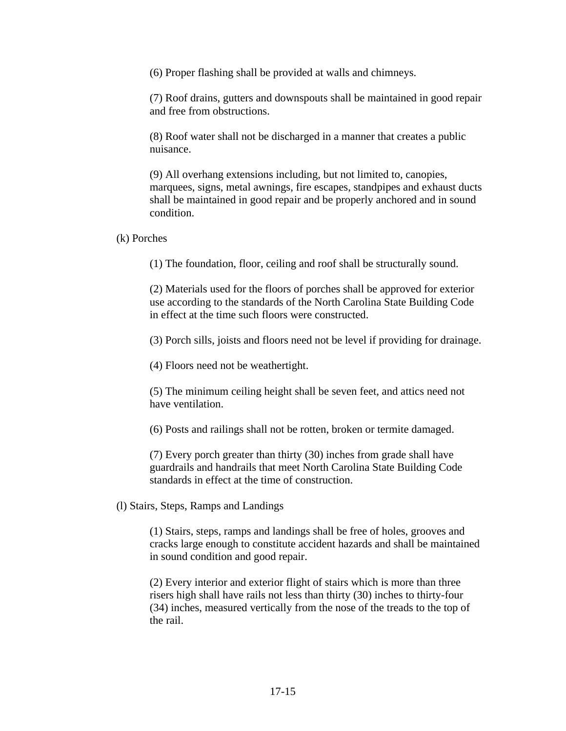(6) Proper flashing shall be provided at walls and chimneys.

(7) Roof drains, gutters and downspouts shall be maintained in good repair and free from obstructions.

(8) Roof water shall not be discharged in a manner that creates a public nuisance.

(9) All overhang extensions including, but not limited to, canopies, marquees, signs, metal awnings, fire escapes, standpipes and exhaust ducts shall be maintained in good repair and be properly anchored and in sound condition.

(k) Porches

(1) The foundation, floor, ceiling and roof shall be structurally sound.

(2) Materials used for the floors of porches shall be approved for exterior use according to the standards of the North Carolina State Building Code in effect at the time such floors were constructed.

(3) Porch sills, joists and floors need not be level if providing for drainage.

(4) Floors need not be weathertight.

(5) The minimum ceiling height shall be seven feet, and attics need not have ventilation.

(6) Posts and railings shall not be rotten, broken or termite damaged.

(7) Every porch greater than thirty (30) inches from grade shall have guardrails and handrails that meet North Carolina State Building Code standards in effect at the time of construction.

(l) Stairs, Steps, Ramps and Landings

(1) Stairs, steps, ramps and landings shall be free of holes, grooves and cracks large enough to constitute accident hazards and shall be maintained in sound condition and good repair.

(2) Every interior and exterior flight of stairs which is more than three risers high shall have rails not less than thirty (30) inches to thirty-four (34) inches, measured vertically from the nose of the treads to the top of the rail.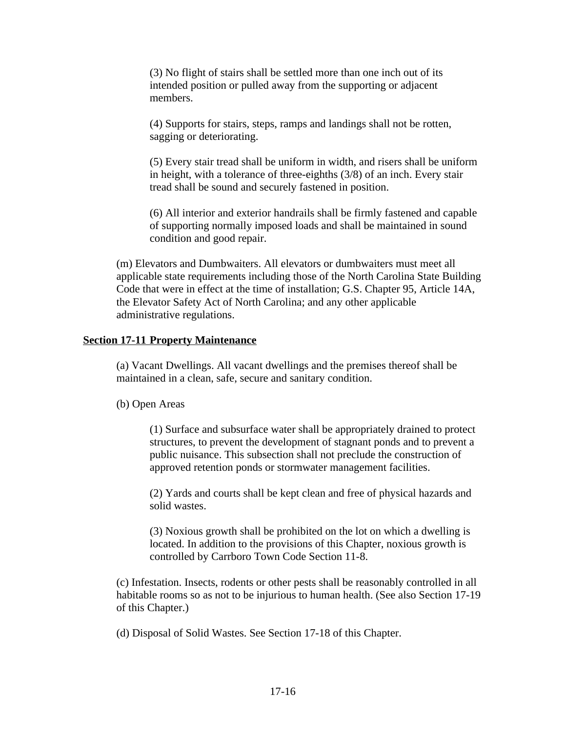(3) No flight of stairs shall be settled more than one inch out of its intended position or pulled away from the supporting or adjacent members.

(4) Supports for stairs, steps, ramps and landings shall not be rotten, sagging or deteriorating.

(5) Every stair tread shall be uniform in width, and risers shall be uniform in height, with a tolerance of three-eighths (3/8) of an inch. Every stair tread shall be sound and securely fastened in position.

(6) All interior and exterior handrails shall be firmly fastened and capable of supporting normally imposed loads and shall be maintained in sound condition and good repair.

(m) Elevators and Dumbwaiters. All elevators or dumbwaiters must meet all applicable state requirements including those of the North Carolina State Building Code that were in effect at the time of installation; G.S. Chapter 95, Article 14A, the Elevator Safety Act of North Carolina; and any other applicable administrative regulations.

### **Section 17-11 Property Maintenance**

(a) Vacant Dwellings. All vacant dwellings and the premises thereof shall be maintained in a clean, safe, secure and sanitary condition.

(b) Open Areas

(1) Surface and subsurface water shall be appropriately drained to protect structures, to prevent the development of stagnant ponds and to prevent a public nuisance. This subsection shall not preclude the construction of approved retention ponds or stormwater management facilities.

(2) Yards and courts shall be kept clean and free of physical hazards and solid wastes.

(3) Noxious growth shall be prohibited on the lot on which a dwelling is located. In addition to the provisions of this Chapter, noxious growth is controlled by Carrboro Town Code Section 11-8.

(c) Infestation. Insects, rodents or other pests shall be reasonably controlled in all habitable rooms so as not to be injurious to human health. (See also Section 17-19 of this Chapter.)

(d) Disposal of Solid Wastes. See Section 17-18 of this Chapter.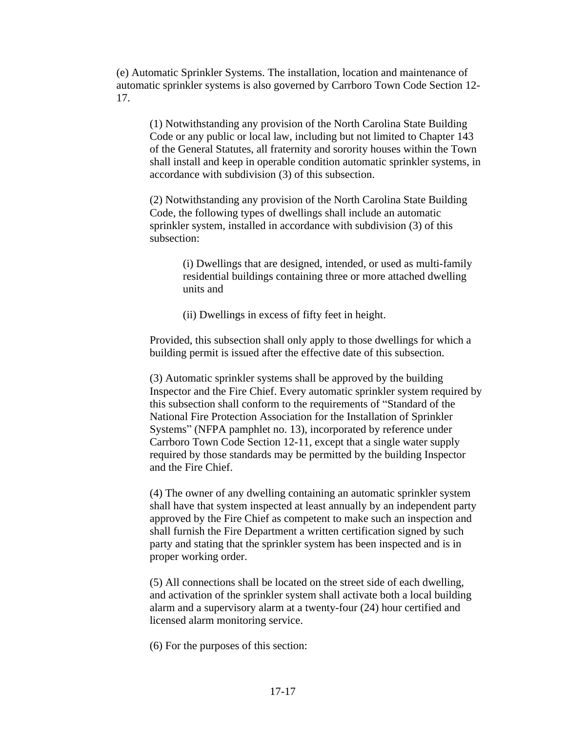(e) Automatic Sprinkler Systems. The installation, location and maintenance of automatic sprinkler systems is also governed by Carrboro Town Code Section 12- 17.

(1) Notwithstanding any provision of the North Carolina State Building Code or any public or local law, including but not limited to Chapter 143 of the General Statutes, all fraternity and sorority houses within the Town shall install and keep in operable condition automatic sprinkler systems, in accordance with subdivision (3) of this subsection.

(2) Notwithstanding any provision of the North Carolina State Building Code, the following types of dwellings shall include an automatic sprinkler system, installed in accordance with subdivision (3) of this subsection:

> (i) Dwellings that are designed, intended, or used as multi-family residential buildings containing three or more attached dwelling units and

(ii) Dwellings in excess of fifty feet in height.

Provided, this subsection shall only apply to those dwellings for which a building permit is issued after the effective date of this subsection.

(3) Automatic sprinkler systems shall be approved by the building Inspector and the Fire Chief. Every automatic sprinkler system required by this subsection shall conform to the requirements of "Standard of the National Fire Protection Association for the Installation of Sprinkler Systems" (NFPA pamphlet no. 13), incorporated by reference under Carrboro Town Code Section 12-11, except that a single water supply required by those standards may be permitted by the building Inspector and the Fire Chief.

(4) The owner of any dwelling containing an automatic sprinkler system shall have that system inspected at least annually by an independent party approved by the Fire Chief as competent to make such an inspection and shall furnish the Fire Department a written certification signed by such party and stating that the sprinkler system has been inspected and is in proper working order.

(5) All connections shall be located on the street side of each dwelling, and activation of the sprinkler system shall activate both a local building alarm and a supervisory alarm at a twenty-four (24) hour certified and licensed alarm monitoring service.

(6) For the purposes of this section: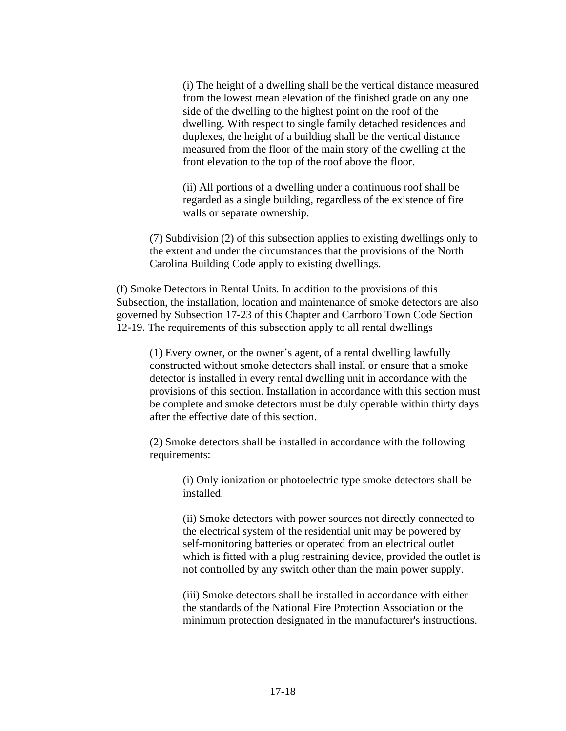(i) The height of a dwelling shall be the vertical distance measured from the lowest mean elevation of the finished grade on any one side of the dwelling to the highest point on the roof of the dwelling. With respect to single family detached residences and duplexes, the height of a building shall be the vertical distance measured from the floor of the main story of the dwelling at the front elevation to the top of the roof above the floor.

(ii) All portions of a dwelling under a continuous roof shall be regarded as a single building, regardless of the existence of fire walls or separate ownership.

(7) Subdivision (2) of this subsection applies to existing dwellings only to the extent and under the circumstances that the provisions of the North Carolina Building Code apply to existing dwellings.

(f) Smoke Detectors in Rental Units. In addition to the provisions of this Subsection, the installation, location and maintenance of smoke detectors are also governed by Subsection 17-23 of this Chapter and Carrboro Town Code Section 12-19. The requirements of this subsection apply to all rental dwellings

(1) Every owner, or the owner's agent, of a rental dwelling lawfully constructed without smoke detectors shall install or ensure that a smoke detector is installed in every rental dwelling unit in accordance with the provisions of this section. Installation in accordance with this section must be complete and smoke detectors must be duly operable within thirty days after the effective date of this section.

(2) Smoke detectors shall be installed in accordance with the following requirements:

> (i) Only ionization or photoelectric type smoke detectors shall be installed.

(ii) Smoke detectors with power sources not directly connected to the electrical system of the residential unit may be powered by self-monitoring batteries or operated from an electrical outlet which is fitted with a plug restraining device, provided the outlet is not controlled by any switch other than the main power supply.

(iii) Smoke detectors shall be installed in accordance with either the standards of the National Fire Protection Association or the minimum protection designated in the manufacturer's instructions.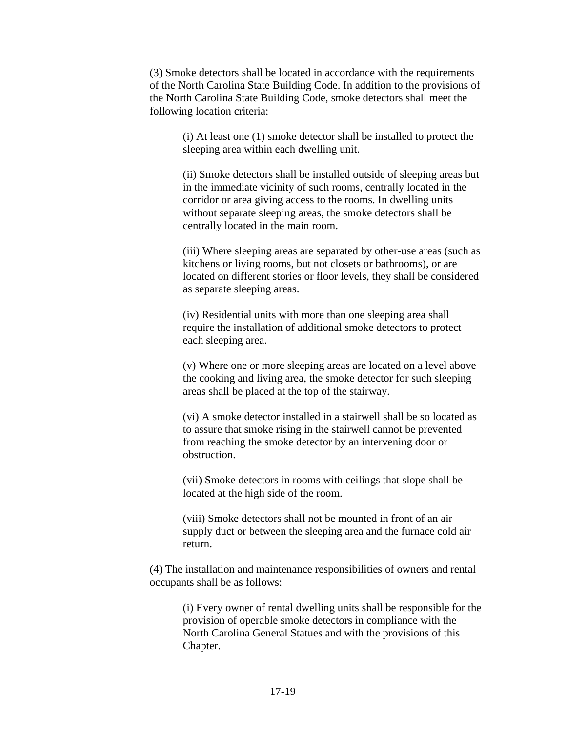(3) Smoke detectors shall be located in accordance with the requirements of the North Carolina State Building Code. In addition to the provisions of the North Carolina State Building Code, smoke detectors shall meet the following location criteria:

(i) At least one (1) smoke detector shall be installed to protect the sleeping area within each dwelling unit.

(ii) Smoke detectors shall be installed outside of sleeping areas but in the immediate vicinity of such rooms, centrally located in the corridor or area giving access to the rooms. In dwelling units without separate sleeping areas, the smoke detectors shall be centrally located in the main room.

(iii) Where sleeping areas are separated by other-use areas (such as kitchens or living rooms, but not closets or bathrooms), or are located on different stories or floor levels, they shall be considered as separate sleeping areas.

(iv) Residential units with more than one sleeping area shall require the installation of additional smoke detectors to protect each sleeping area.

(v) Where one or more sleeping areas are located on a level above the cooking and living area, the smoke detector for such sleeping areas shall be placed at the top of the stairway.

(vi) A smoke detector installed in a stairwell shall be so located as to assure that smoke rising in the stairwell cannot be prevented from reaching the smoke detector by an intervening door or obstruction.

(vii) Smoke detectors in rooms with ceilings that slope shall be located at the high side of the room.

(viii) Smoke detectors shall not be mounted in front of an air supply duct or between the sleeping area and the furnace cold air return.

(4) The installation and maintenance responsibilities of owners and rental occupants shall be as follows:

> (i) Every owner of rental dwelling units shall be responsible for the provision of operable smoke detectors in compliance with the North Carolina General Statues and with the provisions of this Chapter.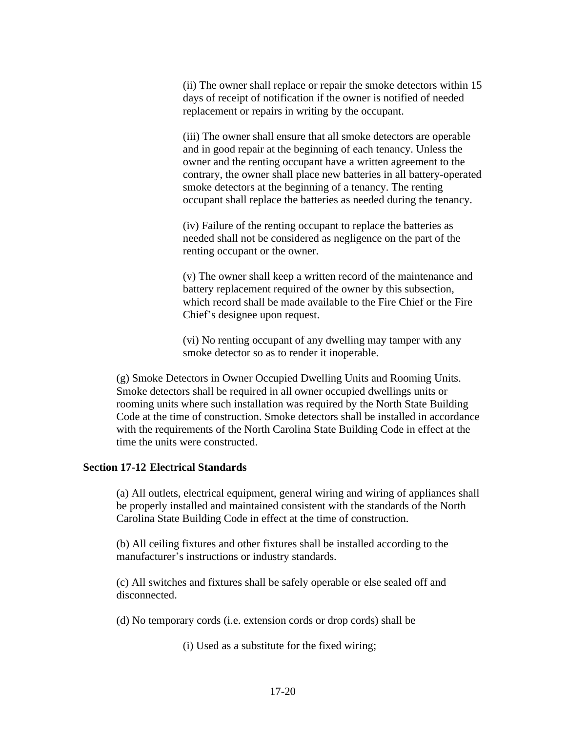(ii) The owner shall replace or repair the smoke detectors within 15 days of receipt of notification if the owner is notified of needed replacement or repairs in writing by the occupant.

(iii) The owner shall ensure that all smoke detectors are operable and in good repair at the beginning of each tenancy. Unless the owner and the renting occupant have a written agreement to the contrary, the owner shall place new batteries in all battery-operated smoke detectors at the beginning of a tenancy. The renting occupant shall replace the batteries as needed during the tenancy.

(iv) Failure of the renting occupant to replace the batteries as needed shall not be considered as negligence on the part of the renting occupant or the owner.

(v) The owner shall keep a written record of the maintenance and battery replacement required of the owner by this subsection, which record shall be made available to the Fire Chief or the Fire Chief's designee upon request.

(vi) No renting occupant of any dwelling may tamper with any smoke detector so as to render it inoperable.

(g) Smoke Detectors in Owner Occupied Dwelling Units and Rooming Units. Smoke detectors shall be required in all owner occupied dwellings units or rooming units where such installation was required by the North State Building Code at the time of construction. Smoke detectors shall be installed in accordance with the requirements of the North Carolina State Building Code in effect at the time the units were constructed.

## **Section 17-12 Electrical Standards**

(a) All outlets, electrical equipment, general wiring and wiring of appliances shall be properly installed and maintained consistent with the standards of the North Carolina State Building Code in effect at the time of construction.

(b) All ceiling fixtures and other fixtures shall be installed according to the manufacturer's instructions or industry standards.

(c) All switches and fixtures shall be safely operable or else sealed off and disconnected.

(d) No temporary cords (i.e. extension cords or drop cords) shall be

(i) Used as a substitute for the fixed wiring;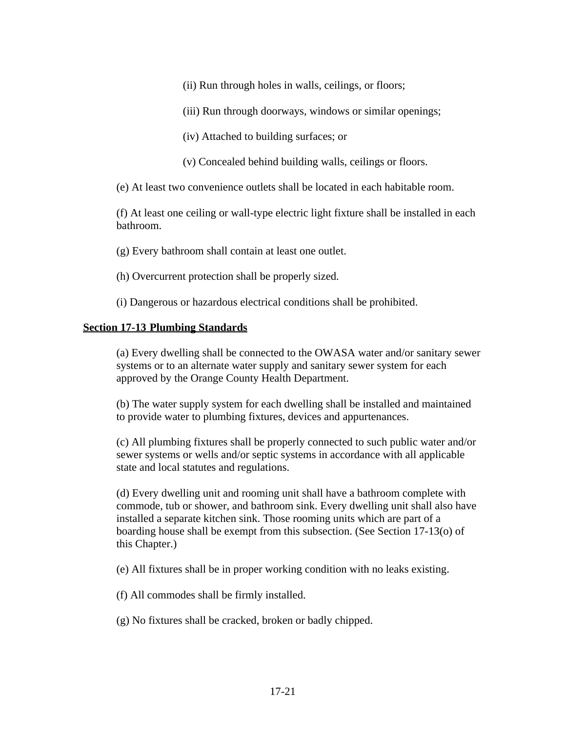(ii) Run through holes in walls, ceilings, or floors;

- (iii) Run through doorways, windows or similar openings;
- (iv) Attached to building surfaces; or
- (v) Concealed behind building walls, ceilings or floors.

(e) At least two convenience outlets shall be located in each habitable room.

(f) At least one ceiling or wall-type electric light fixture shall be installed in each bathroom.

(g) Every bathroom shall contain at least one outlet.

(h) Overcurrent protection shall be properly sized.

(i) Dangerous or hazardous electrical conditions shall be prohibited.

## **Section 17-13 Plumbing Standards**

(a) Every dwelling shall be connected to the OWASA water and/or sanitary sewer systems or to an alternate water supply and sanitary sewer system for each approved by the Orange County Health Department.

(b) The water supply system for each dwelling shall be installed and maintained to provide water to plumbing fixtures, devices and appurtenances.

(c) All plumbing fixtures shall be properly connected to such public water and/or sewer systems or wells and/or septic systems in accordance with all applicable state and local statutes and regulations.

(d) Every dwelling unit and rooming unit shall have a bathroom complete with commode, tub or shower, and bathroom sink. Every dwelling unit shall also have installed a separate kitchen sink. Those rooming units which are part of a boarding house shall be exempt from this subsection. (See Section 17-13(o) of this Chapter.)

(e) All fixtures shall be in proper working condition with no leaks existing.

(f) All commodes shall be firmly installed.

(g) No fixtures shall be cracked, broken or badly chipped.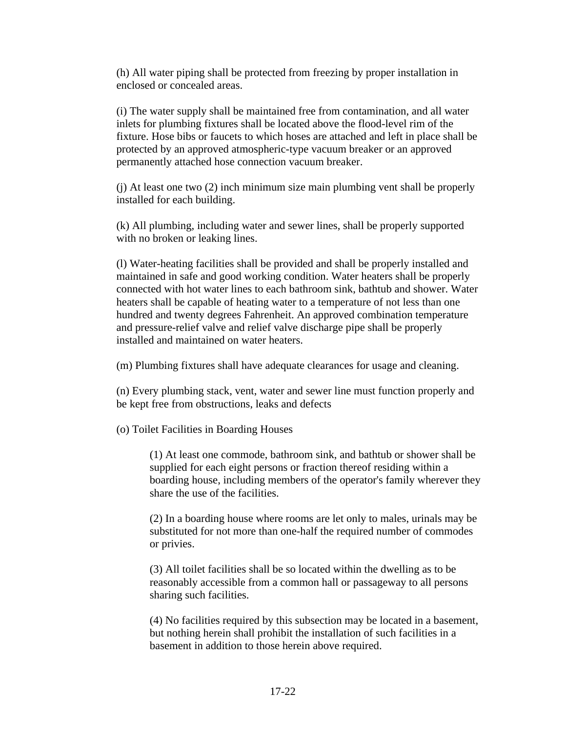(h) All water piping shall be protected from freezing by proper installation in enclosed or concealed areas.

(i) The water supply shall be maintained free from contamination, and all water inlets for plumbing fixtures shall be located above the flood-level rim of the fixture. Hose bibs or faucets to which hoses are attached and left in place shall be protected by an approved atmospheric-type vacuum breaker or an approved permanently attached hose connection vacuum breaker.

(j) At least one two (2) inch minimum size main plumbing vent shall be properly installed for each building.

(k) All plumbing, including water and sewer lines, shall be properly supported with no broken or leaking lines.

(l) Water-heating facilities shall be provided and shall be properly installed and maintained in safe and good working condition. Water heaters shall be properly connected with hot water lines to each bathroom sink, bathtub and shower. Water heaters shall be capable of heating water to a temperature of not less than one hundred and twenty degrees Fahrenheit. An approved combination temperature and pressure-relief valve and relief valve discharge pipe shall be properly installed and maintained on water heaters.

(m) Plumbing fixtures shall have adequate clearances for usage and cleaning.

(n) Every plumbing stack, vent, water and sewer line must function properly and be kept free from obstructions, leaks and defects

(o) Toilet Facilities in Boarding Houses

(1) At least one commode, bathroom sink, and bathtub or shower shall be supplied for each eight persons or fraction thereof residing within a boarding house, including members of the operator's family wherever they share the use of the facilities.

(2) In a boarding house where rooms are let only to males, urinals may be substituted for not more than one-half the required number of commodes or privies.

(3) All toilet facilities shall be so located within the dwelling as to be reasonably accessible from a common hall or passageway to all persons sharing such facilities.

(4) No facilities required by this subsection may be located in a basement, but nothing herein shall prohibit the installation of such facilities in a basement in addition to those herein above required.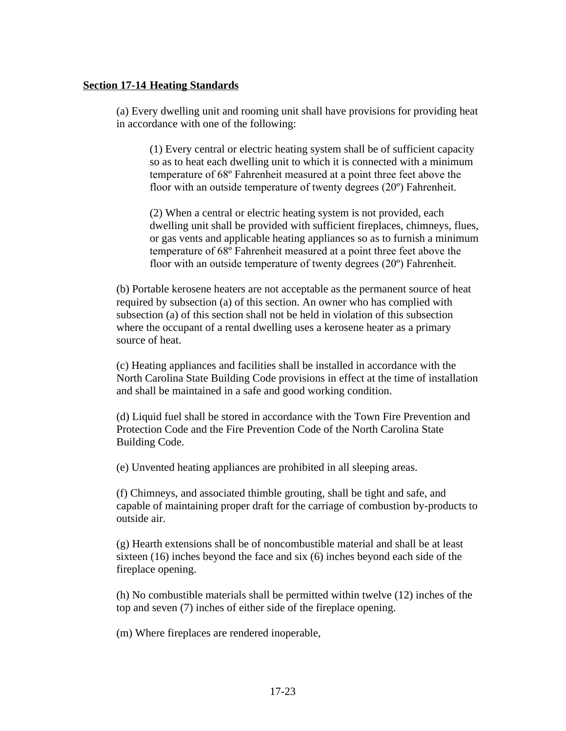### **Section 17-14 Heating Standards**

(a) Every dwelling unit and rooming unit shall have provisions for providing heat in accordance with one of the following:

(1) Every central or electric heating system shall be of sufficient capacity so as to heat each dwelling unit to which it is connected with a minimum temperature of 68º Fahrenheit measured at a point three feet above the floor with an outside temperature of twenty degrees (20º) Fahrenheit.

(2) When a central or electric heating system is not provided, each dwelling unit shall be provided with sufficient fireplaces, chimneys, flues, or gas vents and applicable heating appliances so as to furnish a minimum temperature of 68º Fahrenheit measured at a point three feet above the floor with an outside temperature of twenty degrees (20º) Fahrenheit.

(b) Portable kerosene heaters are not acceptable as the permanent source of heat required by subsection (a) of this section. An owner who has complied with subsection (a) of this section shall not be held in violation of this subsection where the occupant of a rental dwelling uses a kerosene heater as a primary source of heat.

(c) Heating appliances and facilities shall be installed in accordance with the North Carolina State Building Code provisions in effect at the time of installation and shall be maintained in a safe and good working condition.

(d) Liquid fuel shall be stored in accordance with the Town Fire Prevention and Protection Code and the Fire Prevention Code of the North Carolina State Building Code.

(e) Unvented heating appliances are prohibited in all sleeping areas.

(f) Chimneys, and associated thimble grouting, shall be tight and safe, and capable of maintaining proper draft for the carriage of combustion by-products to outside air.

(g) Hearth extensions shall be of noncombustible material and shall be at least sixteen (16) inches beyond the face and six (6) inches beyond each side of the fireplace opening.

(h) No combustible materials shall be permitted within twelve (12) inches of the top and seven (7) inches of either side of the fireplace opening.

(m) Where fireplaces are rendered inoperable,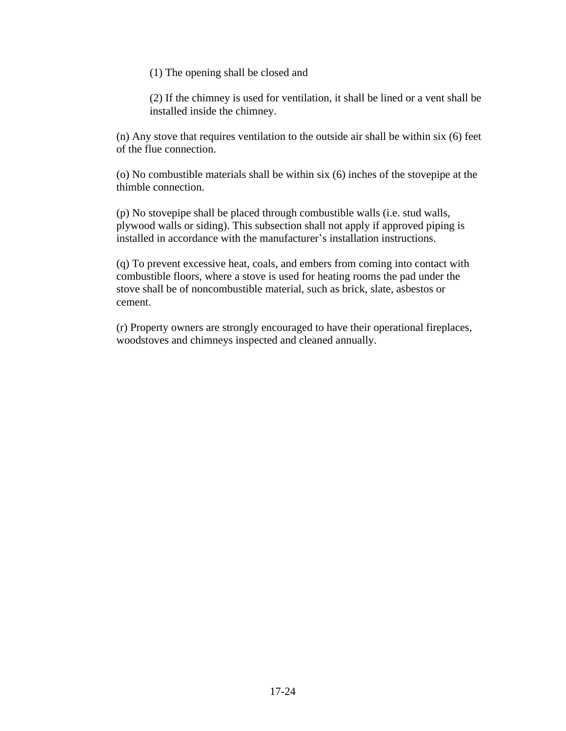(1) The opening shall be closed and

(2) If the chimney is used for ventilation, it shall be lined or a vent shall be installed inside the chimney.

(n) Any stove that requires ventilation to the outside air shall be within six (6) feet of the flue connection.

(o) No combustible materials shall be within six (6) inches of the stovepipe at the thimble connection.

(p) No stovepipe shall be placed through combustible walls (i.e. stud walls, plywood walls or siding). This subsection shall not apply if approved piping is installed in accordance with the manufacturer's installation instructions.

(q) To prevent excessive heat, coals, and embers from coming into contact with combustible floors, where a stove is used for heating rooms the pad under the stove shall be of noncombustible material, such as brick, slate, asbestos or cement.

(r) Property owners are strongly encouraged to have their operational fireplaces, woodstoves and chimneys inspected and cleaned annually.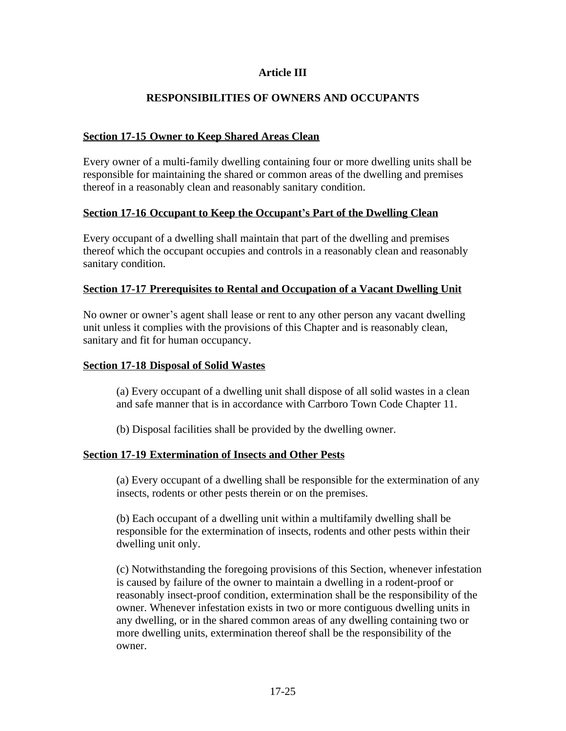# **Article III**

# **RESPONSIBILITIES OF OWNERS AND OCCUPANTS**

## **Section 17-15 Owner to Keep Shared Areas Clean**

Every owner of a multi-family dwelling containing four or more dwelling units shall be responsible for maintaining the shared or common areas of the dwelling and premises thereof in a reasonably clean and reasonably sanitary condition.

### **Section 17-16 Occupant to Keep the Occupant's Part of the Dwelling Clean**

Every occupant of a dwelling shall maintain that part of the dwelling and premises thereof which the occupant occupies and controls in a reasonably clean and reasonably sanitary condition.

### **Section 17-17 Prerequisites to Rental and Occupation of a Vacant Dwelling Unit**

No owner or owner's agent shall lease or rent to any other person any vacant dwelling unit unless it complies with the provisions of this Chapter and is reasonably clean, sanitary and fit for human occupancy.

### **Section 17-18 Disposal of Solid Wastes**

(a) Every occupant of a dwelling unit shall dispose of all solid wastes in a clean and safe manner that is in accordance with Carrboro Town Code Chapter 11.

(b) Disposal facilities shall be provided by the dwelling owner.

## **Section 17-19 Extermination of Insects and Other Pests**

(a) Every occupant of a dwelling shall be responsible for the extermination of any insects, rodents or other pests therein or on the premises.

(b) Each occupant of a dwelling unit within a multifamily dwelling shall be responsible for the extermination of insects, rodents and other pests within their dwelling unit only.

(c) Notwithstanding the foregoing provisions of this Section, whenever infestation is caused by failure of the owner to maintain a dwelling in a rodent-proof or reasonably insect-proof condition, extermination shall be the responsibility of the owner. Whenever infestation exists in two or more contiguous dwelling units in any dwelling, or in the shared common areas of any dwelling containing two or more dwelling units, extermination thereof shall be the responsibility of the owner.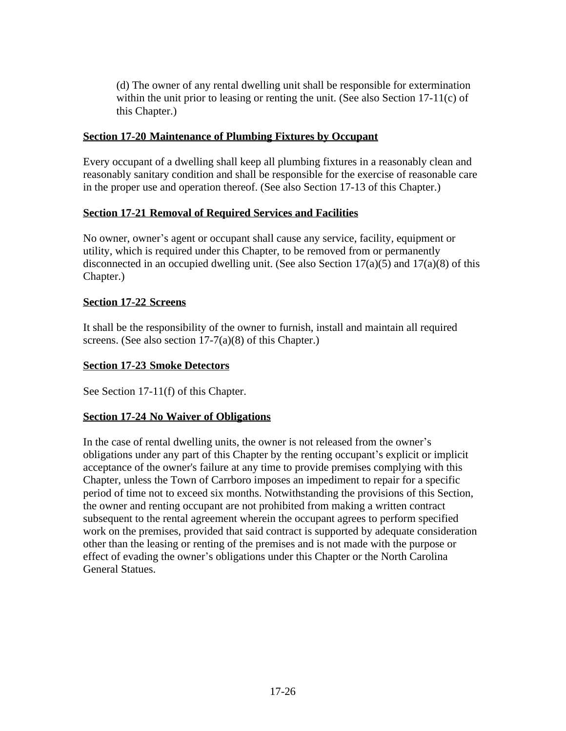(d) The owner of any rental dwelling unit shall be responsible for extermination within the unit prior to leasing or renting the unit. (See also Section 17-11(c) of this Chapter.)

# **Section 17-20 Maintenance of Plumbing Fixtures by Occupant**

Every occupant of a dwelling shall keep all plumbing fixtures in a reasonably clean and reasonably sanitary condition and shall be responsible for the exercise of reasonable care in the proper use and operation thereof. (See also Section 17-13 of this Chapter.)

# **Section 17-21 Removal of Required Services and Facilities**

No owner, owner's agent or occupant shall cause any service, facility, equipment or utility, which is required under this Chapter, to be removed from or permanently disconnected in an occupied dwelling unit. (See also Section  $17(a)(5)$  and  $17(a)(8)$  of this Chapter.)

# **Section 17-22 Screens**

It shall be the responsibility of the owner to furnish, install and maintain all required screens. (See also section 17-7(a)(8) of this Chapter.)

# **Section 17-23 Smoke Detectors**

See Section 17-11(f) of this Chapter.

# **Section 17-24 No Waiver of Obligations**

In the case of rental dwelling units, the owner is not released from the owner's obligations under any part of this Chapter by the renting occupant's explicit or implicit acceptance of the owner's failure at any time to provide premises complying with this Chapter, unless the Town of Carrboro imposes an impediment to repair for a specific period of time not to exceed six months. Notwithstanding the provisions of this Section, the owner and renting occupant are not prohibited from making a written contract subsequent to the rental agreement wherein the occupant agrees to perform specified work on the premises, provided that said contract is supported by adequate consideration other than the leasing or renting of the premises and is not made with the purpose or effect of evading the owner's obligations under this Chapter or the North Carolina General Statues.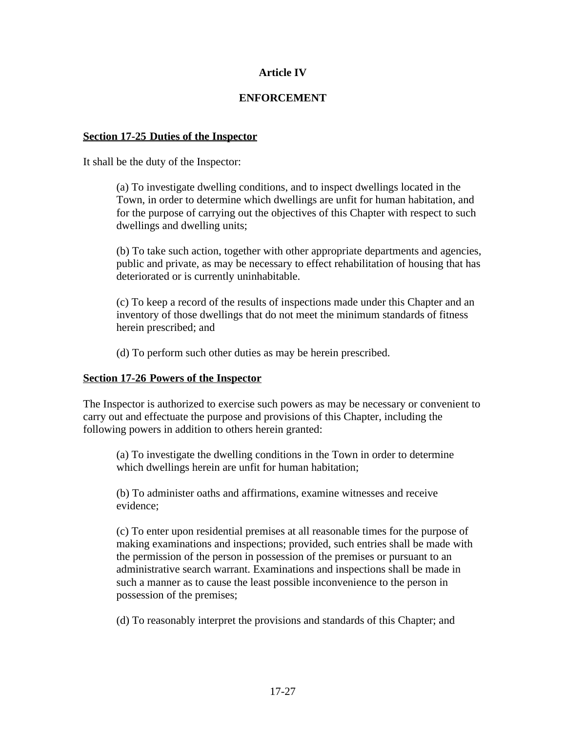# **Article IV**

# **ENFORCEMENT**

## **Section 17-25 Duties of the Inspector**

It shall be the duty of the Inspector:

(a) To investigate dwelling conditions, and to inspect dwellings located in the Town, in order to determine which dwellings are unfit for human habitation, and for the purpose of carrying out the objectives of this Chapter with respect to such dwellings and dwelling units;

(b) To take such action, together with other appropriate departments and agencies, public and private, as may be necessary to effect rehabilitation of housing that has deteriorated or is currently uninhabitable.

(c) To keep a record of the results of inspections made under this Chapter and an inventory of those dwellings that do not meet the minimum standards of fitness herein prescribed; and

(d) To perform such other duties as may be herein prescribed.

## **Section 17-26 Powers of the Inspector**

The Inspector is authorized to exercise such powers as may be necessary or convenient to carry out and effectuate the purpose and provisions of this Chapter, including the following powers in addition to others herein granted:

(a) To investigate the dwelling conditions in the Town in order to determine which dwellings herein are unfit for human habitation;

(b) To administer oaths and affirmations, examine witnesses and receive evidence;

(c) To enter upon residential premises at all reasonable times for the purpose of making examinations and inspections; provided, such entries shall be made with the permission of the person in possession of the premises or pursuant to an administrative search warrant. Examinations and inspections shall be made in such a manner as to cause the least possible inconvenience to the person in possession of the premises;

(d) To reasonably interpret the provisions and standards of this Chapter; and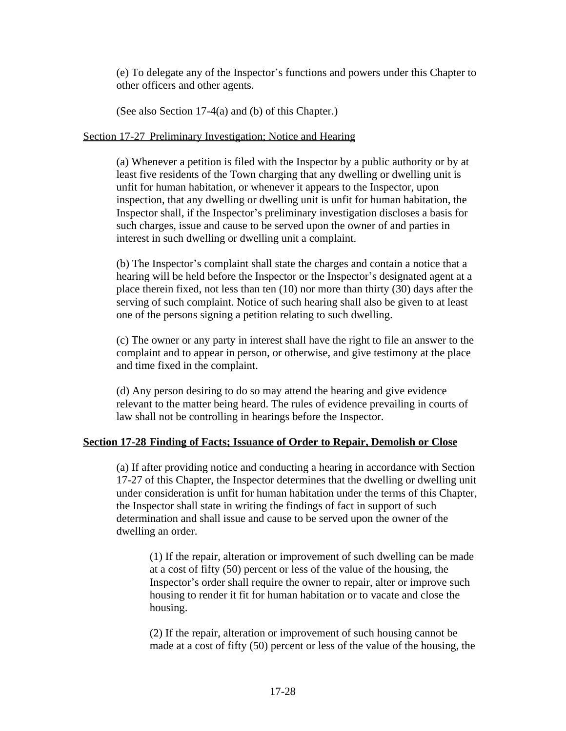(e) To delegate any of the Inspector's functions and powers under this Chapter to other officers and other agents.

(See also Section 17-4(a) and (b) of this Chapter.)

# Section 17-27 Preliminary Investigation; Notice and Hearing

(a) Whenever a petition is filed with the Inspector by a public authority or by at least five residents of the Town charging that any dwelling or dwelling unit is unfit for human habitation, or whenever it appears to the Inspector, upon inspection, that any dwelling or dwelling unit is unfit for human habitation, the Inspector shall, if the Inspector's preliminary investigation discloses a basis for such charges, issue and cause to be served upon the owner of and parties in interest in such dwelling or dwelling unit a complaint.

(b) The Inspector's complaint shall state the charges and contain a notice that a hearing will be held before the Inspector or the Inspector's designated agent at a place therein fixed, not less than ten (10) nor more than thirty (30) days after the serving of such complaint. Notice of such hearing shall also be given to at least one of the persons signing a petition relating to such dwelling.

(c) The owner or any party in interest shall have the right to file an answer to the complaint and to appear in person, or otherwise, and give testimony at the place and time fixed in the complaint.

(d) Any person desiring to do so may attend the hearing and give evidence relevant to the matter being heard. The rules of evidence prevailing in courts of law shall not be controlling in hearings before the Inspector.

# **Section 17-28 Finding of Facts; Issuance of Order to Repair, Demolish or Close**

(a) If after providing notice and conducting a hearing in accordance with Section 17-27 of this Chapter, the Inspector determines that the dwelling or dwelling unit under consideration is unfit for human habitation under the terms of this Chapter, the Inspector shall state in writing the findings of fact in support of such determination and shall issue and cause to be served upon the owner of the dwelling an order.

(1) If the repair, alteration or improvement of such dwelling can be made at a cost of fifty (50) percent or less of the value of the housing, the Inspector's order shall require the owner to repair, alter or improve such housing to render it fit for human habitation or to vacate and close the housing.

(2) If the repair, alteration or improvement of such housing cannot be made at a cost of fifty (50) percent or less of the value of the housing, the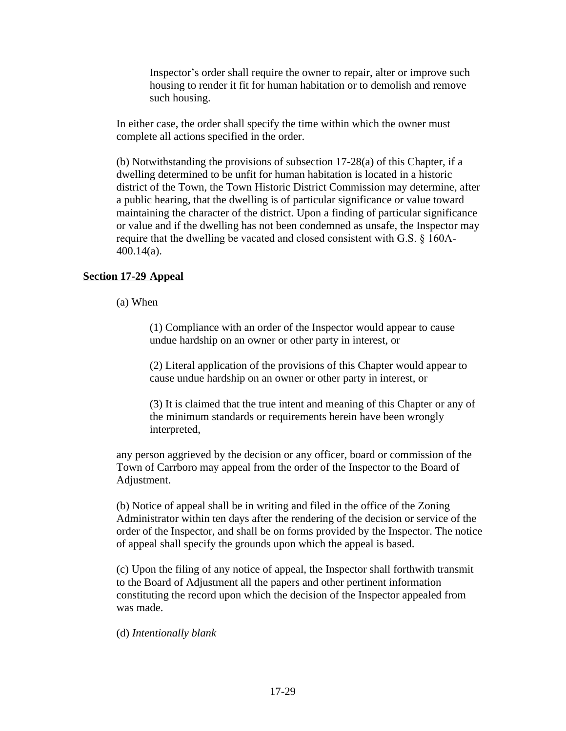Inspector's order shall require the owner to repair, alter or improve such housing to render it fit for human habitation or to demolish and remove such housing.

In either case, the order shall specify the time within which the owner must complete all actions specified in the order.

(b) Notwithstanding the provisions of subsection 17-28(a) of this Chapter, if a dwelling determined to be unfit for human habitation is located in a historic district of the Town, the Town Historic District Commission may determine, after a public hearing, that the dwelling is of particular significance or value toward maintaining the character of the district. Upon a finding of particular significance or value and if the dwelling has not been condemned as unsafe, the Inspector may require that the dwelling be vacated and closed consistent with G.S. § 160A-400.14(a).

# **Section 17-29 Appeal**

(a) When

(1) Compliance with an order of the Inspector would appear to cause undue hardship on an owner or other party in interest, or

(2) Literal application of the provisions of this Chapter would appear to cause undue hardship on an owner or other party in interest, or

(3) It is claimed that the true intent and meaning of this Chapter or any of the minimum standards or requirements herein have been wrongly interpreted,

any person aggrieved by the decision or any officer, board or commission of the Town of Carrboro may appeal from the order of the Inspector to the Board of Adjustment.

(b) Notice of appeal shall be in writing and filed in the office of the Zoning Administrator within ten days after the rendering of the decision or service of the order of the Inspector, and shall be on forms provided by the Inspector. The notice of appeal shall specify the grounds upon which the appeal is based.

(c) Upon the filing of any notice of appeal, the Inspector shall forthwith transmit to the Board of Adjustment all the papers and other pertinent information constituting the record upon which the decision of the Inspector appealed from was made.

(d) *Intentionally blank*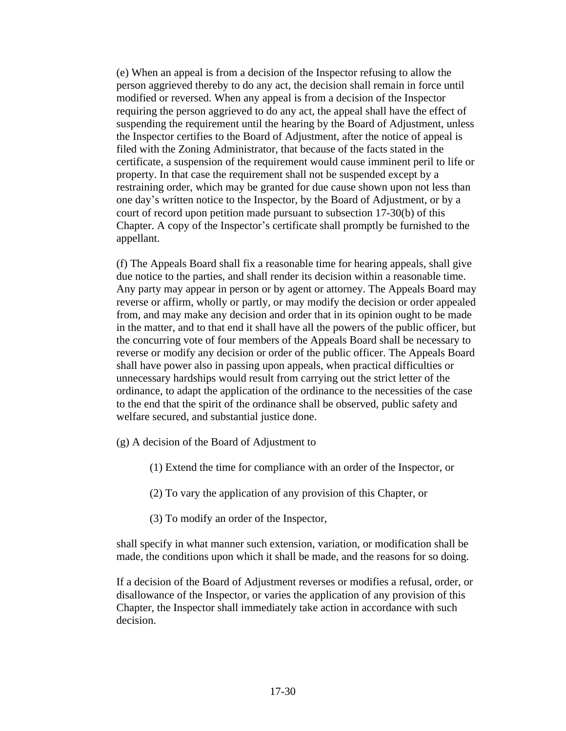(e) When an appeal is from a decision of the Inspector refusing to allow the person aggrieved thereby to do any act, the decision shall remain in force until modified or reversed. When any appeal is from a decision of the Inspector requiring the person aggrieved to do any act, the appeal shall have the effect of suspending the requirement until the hearing by the Board of Adjustment, unless the Inspector certifies to the Board of Adjustment, after the notice of appeal is filed with the Zoning Administrator, that because of the facts stated in the certificate, a suspension of the requirement would cause imminent peril to life or property. In that case the requirement shall not be suspended except by a restraining order, which may be granted for due cause shown upon not less than one day's written notice to the Inspector, by the Board of Adjustment, or by a court of record upon petition made pursuant to subsection 17-30(b) of this Chapter. A copy of the Inspector's certificate shall promptly be furnished to the appellant.

(f) The Appeals Board shall fix a reasonable time for hearing appeals, shall give due notice to the parties, and shall render its decision within a reasonable time. Any party may appear in person or by agent or attorney. The Appeals Board may reverse or affirm, wholly or partly, or may modify the decision or order appealed from, and may make any decision and order that in its opinion ought to be made in the matter, and to that end it shall have all the powers of the public officer, but the concurring vote of four members of the Appeals Board shall be necessary to reverse or modify any decision or order of the public officer. The Appeals Board shall have power also in passing upon appeals, when practical difficulties or unnecessary hardships would result from carrying out the strict letter of the ordinance, to adapt the application of the ordinance to the necessities of the case to the end that the spirit of the ordinance shall be observed, public safety and welfare secured, and substantial justice done.

- (g) A decision of the Board of Adjustment to
	- (1) Extend the time for compliance with an order of the Inspector, or
	- (2) To vary the application of any provision of this Chapter, or
	- (3) To modify an order of the Inspector,

shall specify in what manner such extension, variation, or modification shall be made, the conditions upon which it shall be made, and the reasons for so doing.

If a decision of the Board of Adjustment reverses or modifies a refusal, order, or disallowance of the Inspector, or varies the application of any provision of this Chapter, the Inspector shall immediately take action in accordance with such decision.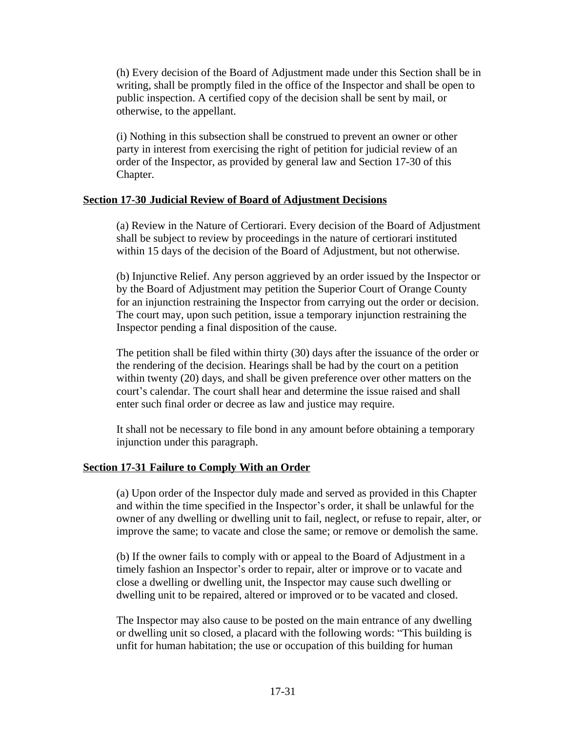(h) Every decision of the Board of Adjustment made under this Section shall be in writing, shall be promptly filed in the office of the Inspector and shall be open to public inspection. A certified copy of the decision shall be sent by mail, or otherwise, to the appellant.

(i) Nothing in this subsection shall be construed to prevent an owner or other party in interest from exercising the right of petition for judicial review of an order of the Inspector, as provided by general law and Section 17-30 of this Chapter.

### **Section 17-30 Judicial Review of Board of Adjustment Decisions**

(a) Review in the Nature of Certiorari. Every decision of the Board of Adjustment shall be subject to review by proceedings in the nature of certiorari instituted within 15 days of the decision of the Board of Adjustment, but not otherwise.

(b) Injunctive Relief. Any person aggrieved by an order issued by the Inspector or by the Board of Adjustment may petition the Superior Court of Orange County for an injunction restraining the Inspector from carrying out the order or decision. The court may, upon such petition, issue a temporary injunction restraining the Inspector pending a final disposition of the cause.

The petition shall be filed within thirty (30) days after the issuance of the order or the rendering of the decision. Hearings shall be had by the court on a petition within twenty (20) days, and shall be given preference over other matters on the court's calendar. The court shall hear and determine the issue raised and shall enter such final order or decree as law and justice may require.

It shall not be necessary to file bond in any amount before obtaining a temporary injunction under this paragraph.

## **Section 17-31 Failure to Comply With an Order**

(a) Upon order of the Inspector duly made and served as provided in this Chapter and within the time specified in the Inspector's order, it shall be unlawful for the owner of any dwelling or dwelling unit to fail, neglect, or refuse to repair, alter, or improve the same; to vacate and close the same; or remove or demolish the same.

(b) If the owner fails to comply with or appeal to the Board of Adjustment in a timely fashion an Inspector's order to repair, alter or improve or to vacate and close a dwelling or dwelling unit, the Inspector may cause such dwelling or dwelling unit to be repaired, altered or improved or to be vacated and closed.

The Inspector may also cause to be posted on the main entrance of any dwelling or dwelling unit so closed, a placard with the following words: "This building is unfit for human habitation; the use or occupation of this building for human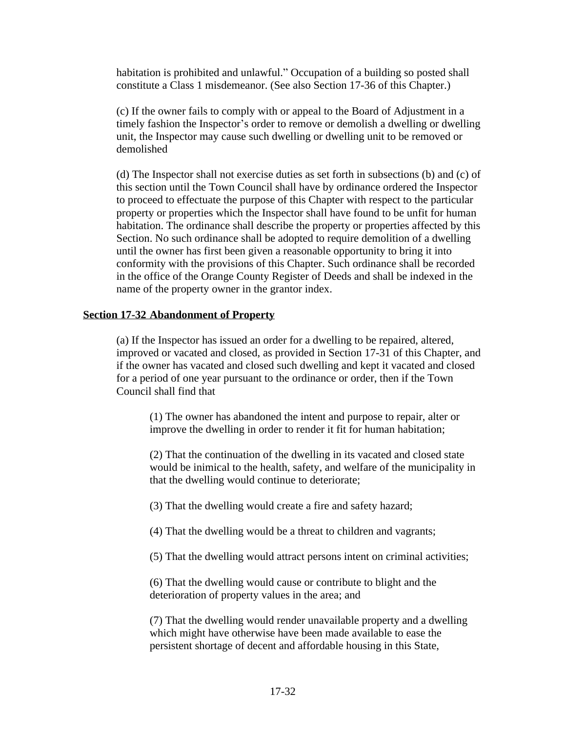habitation is prohibited and unlawful." Occupation of a building so posted shall constitute a Class 1 misdemeanor. (See also Section 17-36 of this Chapter.)

(c) If the owner fails to comply with or appeal to the Board of Adjustment in a timely fashion the Inspector's order to remove or demolish a dwelling or dwelling unit, the Inspector may cause such dwelling or dwelling unit to be removed or demolished

(d) The Inspector shall not exercise duties as set forth in subsections (b) and (c) of this section until the Town Council shall have by ordinance ordered the Inspector to proceed to effectuate the purpose of this Chapter with respect to the particular property or properties which the Inspector shall have found to be unfit for human habitation. The ordinance shall describe the property or properties affected by this Section. No such ordinance shall be adopted to require demolition of a dwelling until the owner has first been given a reasonable opportunity to bring it into conformity with the provisions of this Chapter. Such ordinance shall be recorded in the office of the Orange County Register of Deeds and shall be indexed in the name of the property owner in the grantor index.

# **Section 17-32 Abandonment of Property**

(a) If the Inspector has issued an order for a dwelling to be repaired, altered, improved or vacated and closed, as provided in Section 17-31 of this Chapter, and if the owner has vacated and closed such dwelling and kept it vacated and closed for a period of one year pursuant to the ordinance or order, then if the Town Council shall find that

(1) The owner has abandoned the intent and purpose to repair, alter or improve the dwelling in order to render it fit for human habitation;

(2) That the continuation of the dwelling in its vacated and closed state would be inimical to the health, safety, and welfare of the municipality in that the dwelling would continue to deteriorate;

(3) That the dwelling would create a fire and safety hazard;

(4) That the dwelling would be a threat to children and vagrants;

(5) That the dwelling would attract persons intent on criminal activities;

(6) That the dwelling would cause or contribute to blight and the deterioration of property values in the area; and

(7) That the dwelling would render unavailable property and a dwelling which might have otherwise have been made available to ease the persistent shortage of decent and affordable housing in this State,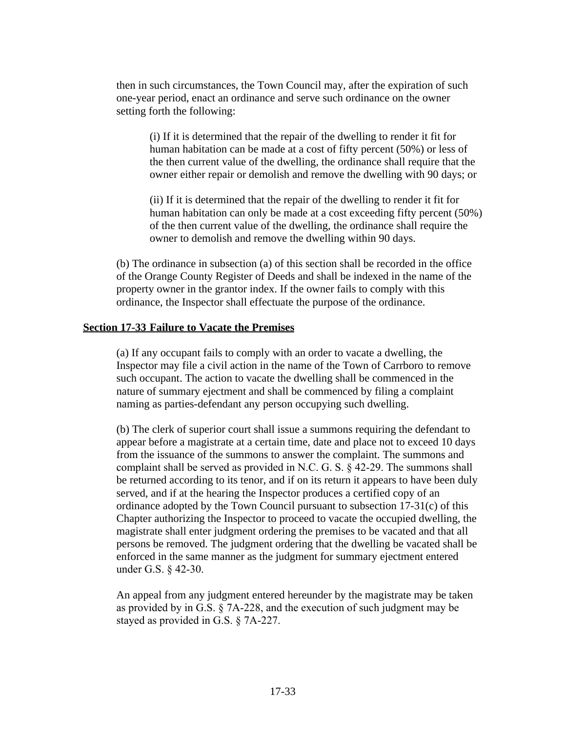then in such circumstances, the Town Council may, after the expiration of such one-year period, enact an ordinance and serve such ordinance on the owner setting forth the following:

(i) If it is determined that the repair of the dwelling to render it fit for human habitation can be made at a cost of fifty percent (50%) or less of the then current value of the dwelling, the ordinance shall require that the owner either repair or demolish and remove the dwelling with 90 days; or

(ii) If it is determined that the repair of the dwelling to render it fit for human habitation can only be made at a cost exceeding fifty percent (50%) of the then current value of the dwelling, the ordinance shall require the owner to demolish and remove the dwelling within 90 days.

(b) The ordinance in subsection (a) of this section shall be recorded in the office of the Orange County Register of Deeds and shall be indexed in the name of the property owner in the grantor index. If the owner fails to comply with this ordinance, the Inspector shall effectuate the purpose of the ordinance.

#### **Section 17-33 Failure to Vacate the Premises**

(a) If any occupant fails to comply with an order to vacate a dwelling, the Inspector may file a civil action in the name of the Town of Carrboro to remove such occupant. The action to vacate the dwelling shall be commenced in the nature of summary ejectment and shall be commenced by filing a complaint naming as parties-defendant any person occupying such dwelling.

(b) The clerk of superior court shall issue a summons requiring the defendant to appear before a magistrate at a certain time, date and place not to exceed 10 days from the issuance of the summons to answer the complaint. The summons and complaint shall be served as provided in N.C. G. S. § 42-29. The summons shall be returned according to its tenor, and if on its return it appears to have been duly served, and if at the hearing the Inspector produces a certified copy of an ordinance adopted by the Town Council pursuant to subsection 17-31(c) of this Chapter authorizing the Inspector to proceed to vacate the occupied dwelling, the magistrate shall enter judgment ordering the premises to be vacated and that all persons be removed. The judgment ordering that the dwelling be vacated shall be enforced in the same manner as the judgment for summary ejectment entered under G.S. § 42-30.

An appeal from any judgment entered hereunder by the magistrate may be taken as provided by in G.S. § 7A-228, and the execution of such judgment may be stayed as provided in G.S. § 7A-227.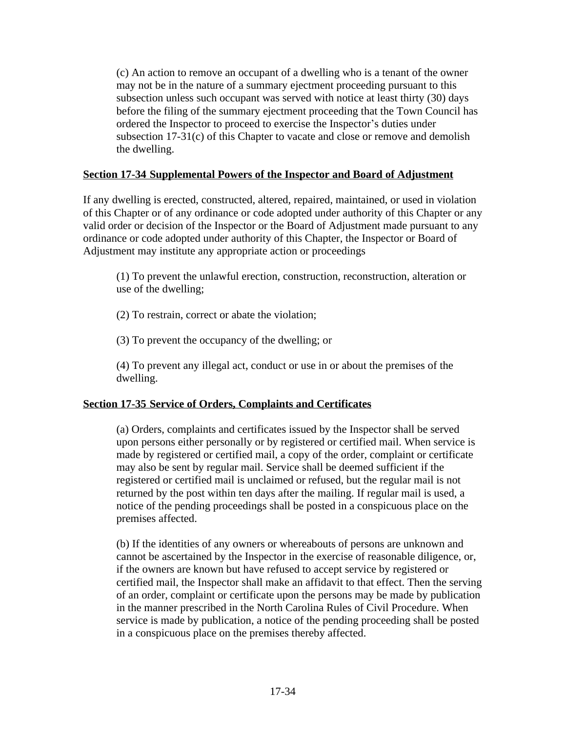(c) An action to remove an occupant of a dwelling who is a tenant of the owner may not be in the nature of a summary ejectment proceeding pursuant to this subsection unless such occupant was served with notice at least thirty (30) days before the filing of the summary ejectment proceeding that the Town Council has ordered the Inspector to proceed to exercise the Inspector's duties under subsection 17-31(c) of this Chapter to vacate and close or remove and demolish the dwelling.

# **Section 17-34 Supplemental Powers of the Inspector and Board of Adjustment**

If any dwelling is erected, constructed, altered, repaired, maintained, or used in violation of this Chapter or of any ordinance or code adopted under authority of this Chapter or any valid order or decision of the Inspector or the Board of Adjustment made pursuant to any ordinance or code adopted under authority of this Chapter, the Inspector or Board of Adjustment may institute any appropriate action or proceedings

(1) To prevent the unlawful erection, construction, reconstruction, alteration or use of the dwelling;

(2) To restrain, correct or abate the violation;

(3) To prevent the occupancy of the dwelling; or

(4) To prevent any illegal act, conduct or use in or about the premises of the dwelling.

# **Section 17-35 Service of Orders, Complaints and Certificates**

(a) Orders, complaints and certificates issued by the Inspector shall be served upon persons either personally or by registered or certified mail. When service is made by registered or certified mail, a copy of the order, complaint or certificate may also be sent by regular mail. Service shall be deemed sufficient if the registered or certified mail is unclaimed or refused, but the regular mail is not returned by the post within ten days after the mailing. If regular mail is used, a notice of the pending proceedings shall be posted in a conspicuous place on the premises affected.

(b) If the identities of any owners or whereabouts of persons are unknown and cannot be ascertained by the Inspector in the exercise of reasonable diligence, or, if the owners are known but have refused to accept service by registered or certified mail, the Inspector shall make an affidavit to that effect. Then the serving of an order, complaint or certificate upon the persons may be made by publication in the manner prescribed in the North Carolina Rules of Civil Procedure. When service is made by publication, a notice of the pending proceeding shall be posted in a conspicuous place on the premises thereby affected.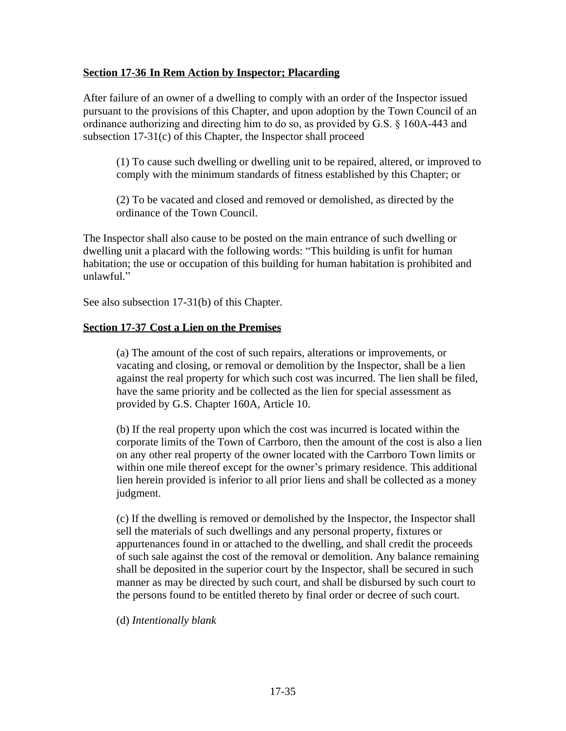## **Section 17-36 In Rem Action by Inspector; Placarding**

After failure of an owner of a dwelling to comply with an order of the Inspector issued pursuant to the provisions of this Chapter, and upon adoption by the Town Council of an ordinance authorizing and directing him to do so, as provided by G.S. § 160A-443 and subsection 17-31(c) of this Chapter, the Inspector shall proceed

(1) To cause such dwelling or dwelling unit to be repaired, altered, or improved to comply with the minimum standards of fitness established by this Chapter; or

(2) To be vacated and closed and removed or demolished, as directed by the ordinance of the Town Council.

The Inspector shall also cause to be posted on the main entrance of such dwelling or dwelling unit a placard with the following words: "This building is unfit for human habitation; the use or occupation of this building for human habitation is prohibited and unlawful."

See also subsection 17-31(b) of this Chapter.

# **Section 17-37 Cost a Lien on the Premises**

(a) The amount of the cost of such repairs, alterations or improvements, or vacating and closing, or removal or demolition by the Inspector, shall be a lien against the real property for which such cost was incurred. The lien shall be filed, have the same priority and be collected as the lien for special assessment as provided by G.S. Chapter 160A, Article 10.

(b) If the real property upon which the cost was incurred is located within the corporate limits of the Town of Carrboro, then the amount of the cost is also a lien on any other real property of the owner located with the Carrboro Town limits or within one mile thereof except for the owner's primary residence. This additional lien herein provided is inferior to all prior liens and shall be collected as a money judgment.

(c) If the dwelling is removed or demolished by the Inspector, the Inspector shall sell the materials of such dwellings and any personal property, fixtures or appurtenances found in or attached to the dwelling, and shall credit the proceeds of such sale against the cost of the removal or demolition. Any balance remaining shall be deposited in the superior court by the Inspector, shall be secured in such manner as may be directed by such court, and shall be disbursed by such court to the persons found to be entitled thereto by final order or decree of such court.

(d) *Intentionally blank*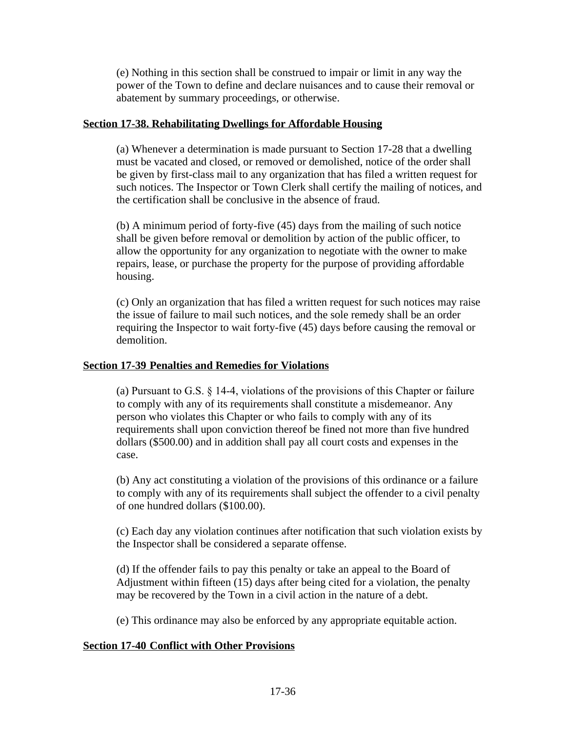(e) Nothing in this section shall be construed to impair or limit in any way the power of the Town to define and declare nuisances and to cause their removal or abatement by summary proceedings, or otherwise.

# **Section 17-38. Rehabilitating Dwellings for Affordable Housing**

(a) Whenever a determination is made pursuant to Section 17-28 that a dwelling must be vacated and closed, or removed or demolished, notice of the order shall be given by first-class mail to any organization that has filed a written request for such notices. The Inspector or Town Clerk shall certify the mailing of notices, and the certification shall be conclusive in the absence of fraud.

(b) A minimum period of forty-five (45) days from the mailing of such notice shall be given before removal or demolition by action of the public officer, to allow the opportunity for any organization to negotiate with the owner to make repairs, lease, or purchase the property for the purpose of providing affordable housing.

(c) Only an organization that has filed a written request for such notices may raise the issue of failure to mail such notices, and the sole remedy shall be an order requiring the Inspector to wait forty-five (45) days before causing the removal or demolition.

# **Section 17-39 Penalties and Remedies for Violations**

(a) Pursuant to G.S. § 14-4, violations of the provisions of this Chapter or failure to comply with any of its requirements shall constitute a misdemeanor. Any person who violates this Chapter or who fails to comply with any of its requirements shall upon conviction thereof be fined not more than five hundred dollars (\$500.00) and in addition shall pay all court costs and expenses in the case.

(b) Any act constituting a violation of the provisions of this ordinance or a failure to comply with any of its requirements shall subject the offender to a civil penalty of one hundred dollars (\$100.00).

(c) Each day any violation continues after notification that such violation exists by the Inspector shall be considered a separate offense.

(d) If the offender fails to pay this penalty or take an appeal to the Board of Adjustment within fifteen (15) days after being cited for a violation, the penalty may be recovered by the Town in a civil action in the nature of a debt.

(e) This ordinance may also be enforced by any appropriate equitable action.

# **Section 17-40 Conflict with Other Provisions**